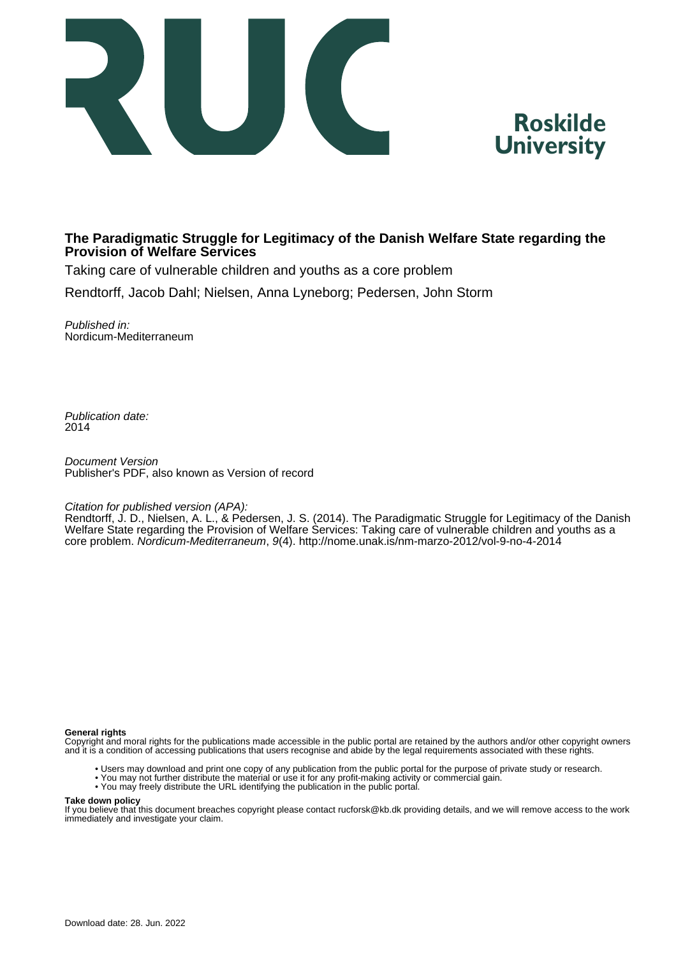



#### **The Paradigmatic Struggle for Legitimacy of the Danish Welfare State regarding the Provision of Welfare Services**

Taking care of vulnerable children and youths as a core problem

Rendtorff, Jacob Dahl; Nielsen, Anna Lyneborg; Pedersen, John Storm

Published in: Nordicum-Mediterraneum

Publication date: 2014

Document Version Publisher's PDF, also known as Version of record

#### Citation for published version (APA):

Rendtorff, J. D., Nielsen, A. L., & Pedersen, J. S. (2014). The Paradigmatic Struggle for Legitimacy of the Danish Welfare State regarding the Provision of Welfare Services: Taking care of vulnerable children and youths as a core problem. Nordicum-Mediterraneum, 9(4).<http://nome.unak.is/nm-marzo-2012/vol-9-no-4-2014>

#### **General rights**

Copyright and moral rights for the publications made accessible in the public portal are retained by the authors and/or other copyright owners and it is a condition of accessing publications that users recognise and abide by the legal requirements associated with these rights.

- Users may download and print one copy of any publication from the public portal for the purpose of private study or research.
- You may not further distribute the material or use it for any profit-making activity or commercial gain.
- You may freely distribute the URL identifying the publication in the public portal.

#### **Take down policy**

If you believe that this document breaches copyright please contact rucforsk@kb.dk providing details, and we will remove access to the work immediately and investigate your claim.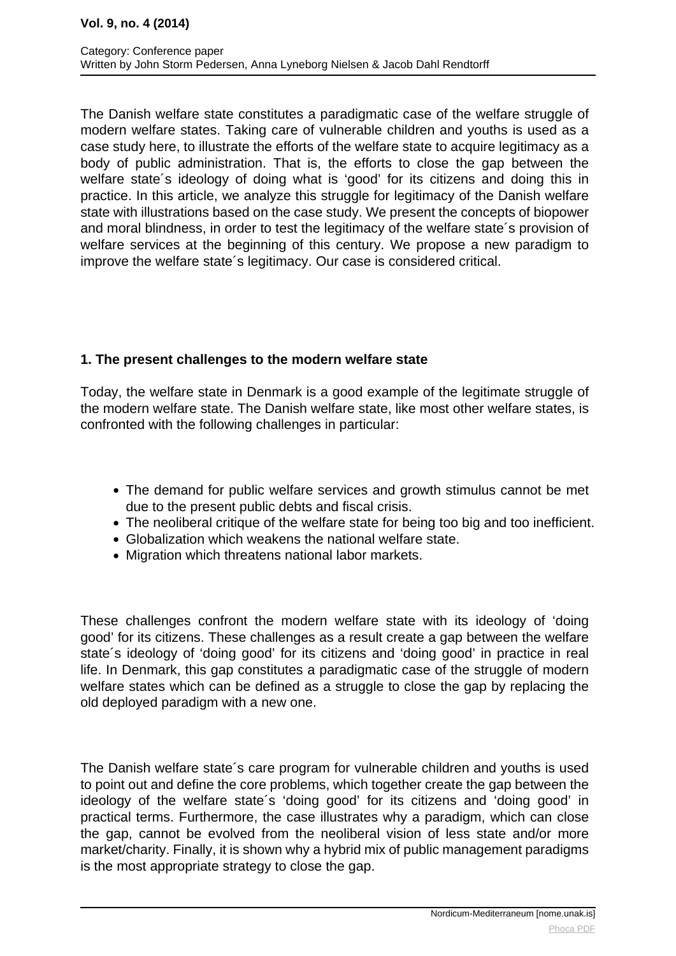The Danish welfare state constitutes a paradigmatic case of the welfare struggle of modern welfare states. Taking care of vulnerable children and youths is used as a case study here, to illustrate the efforts of the welfare state to acquire legitimacy as a body of public administration. That is, the efforts to close the gap between the welfare state´s ideology of doing what is 'good' for its citizens and doing this in practice. In this article, we analyze this struggle for legitimacy of the Danish welfare state with illustrations based on the case study. We present the concepts of biopower and moral blindness, in order to test the legitimacy of the welfare state´s provision of welfare services at the beginning of this century. We propose a new paradigm to improve the welfare state´s legitimacy. Our case is considered critical.

# **1. The present challenges to the modern welfare state**

Today, the welfare state in Denmark is a good example of the legitimate struggle of the modern welfare state. The Danish welfare state, like most other welfare states, is confronted with the following challenges in particular:

- The demand for public welfare services and growth stimulus cannot be met due to the present public debts and fiscal crisis.
- The neoliberal critique of the welfare state for being too big and too inefficient.
- Globalization which weakens the national welfare state.
- Migration which threatens national labor markets.

These challenges confront the modern welfare state with its ideology of 'doing good' for its citizens. These challenges as a result create a gap between the welfare state´s ideology of 'doing good' for its citizens and 'doing good' in practice in real life. In Denmark, this gap constitutes a paradigmatic case of the struggle of modern welfare states which can be defined as a struggle to close the gap by replacing the old deployed paradigm with a new one.

The Danish welfare state´s care program for vulnerable children and youths is used to point out and define the core problems, which together create the gap between the ideology of the welfare state´s 'doing good' for its citizens and 'doing good' in practical terms. Furthermore, the case illustrates why a paradigm, which can close the gap, cannot be evolved from the neoliberal vision of less state and/or more market/charity. Finally, it is shown why a hybrid mix of public management paradigms is the most appropriate strategy to close the gap.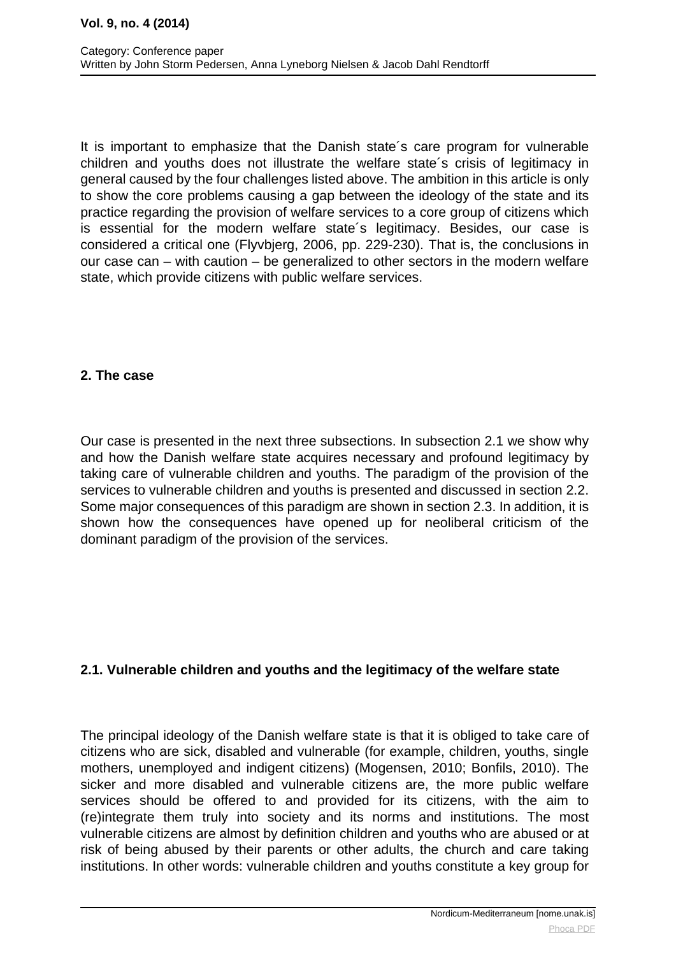It is important to emphasize that the Danish state´s care program for vulnerable children and youths does not illustrate the welfare state´s crisis of legitimacy in general caused by the four challenges listed above. The ambition in this article is only to show the core problems causing a gap between the ideology of the state and its practice regarding the provision of welfare services to a core group of citizens which is essential for the modern welfare state´s legitimacy. Besides, our case is considered a critical one (Flyvbjerg, 2006, pp. 229-230). That is, the conclusions in our case can – with caution – be generalized to other sectors in the modern welfare state, which provide citizens with public welfare services.

## **2. The case**

Our case is presented in the next three subsections. In subsection 2.1 we show why and how the Danish welfare state acquires necessary and profound legitimacy by taking care of vulnerable children and youths. The paradigm of the provision of the services to vulnerable children and youths is presented and discussed in section 2.2. Some major consequences of this paradigm are shown in section 2.3. In addition, it is shown how the consequences have opened up for neoliberal criticism of the dominant paradigm of the provision of the services.

## **2.1. Vulnerable children and youths and the legitimacy of the welfare state**

The principal ideology of the Danish welfare state is that it is obliged to take care of citizens who are sick, disabled and vulnerable (for example, children, youths, single mothers, unemployed and indigent citizens) (Mogensen, 2010; Bonfils, 2010). The sicker and more disabled and vulnerable citizens are, the more public welfare services should be offered to and provided for its citizens, with the aim to (re)integrate them truly into society and its norms and institutions. The most vulnerable citizens are almost by definition children and youths who are abused or at risk of being abused by their parents or other adults, the church and care taking institutions. In other words: vulnerable children and youths constitute a key group for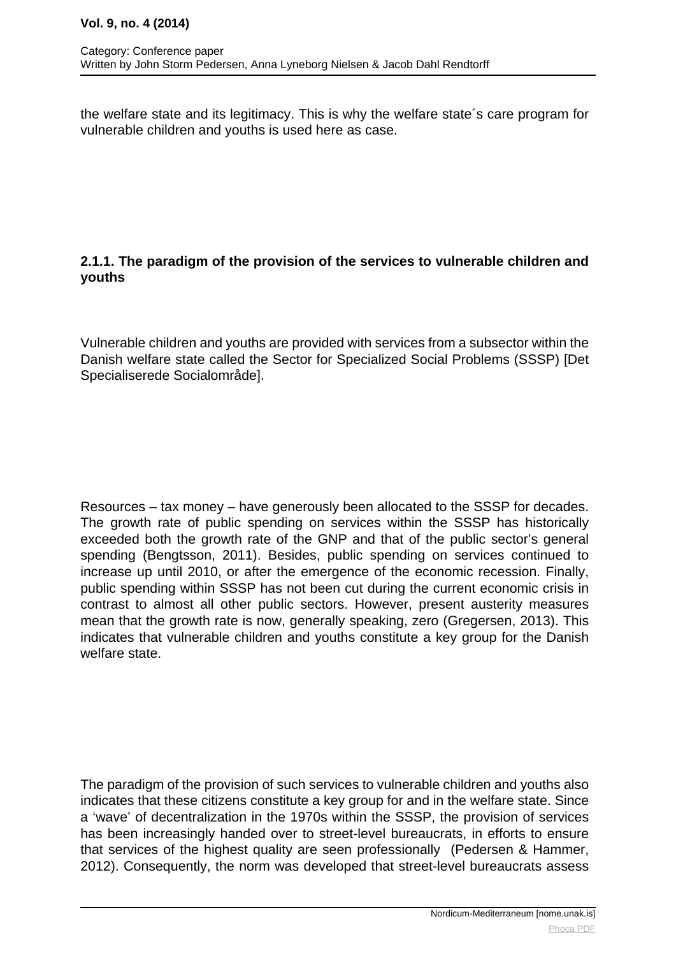the welfare state and its legitimacy. This is why the welfare state´s care program for vulnerable children and youths is used here as case.

## **2.1.1. The paradigm of the provision of the services to vulnerable children and youths**

Vulnerable children and youths are provided with services from a subsector within the Danish welfare state called the Sector for Specialized Social Problems (SSSP) [Det Specialiserede Socialområde].

Resources – tax money – have generously been allocated to the SSSP for decades. The growth rate of public spending on services within the SSSP has historically exceeded both the growth rate of the GNP and that of the public sector's general spending (Bengtsson, 2011). Besides, public spending on services continued to increase up until 2010, or after the emergence of the economic recession. Finally, public spending within SSSP has not been cut during the current economic crisis in contrast to almost all other public sectors. However, present austerity measures mean that the growth rate is now, generally speaking, zero (Gregersen, 2013). This indicates that vulnerable children and youths constitute a key group for the Danish welfare state.

The paradigm of the provision of such services to vulnerable children and youths also indicates that these citizens constitute a key group for and in the welfare state. Since a 'wave' of decentralization in the 1970s within the SSSP, the provision of services has been increasingly handed over to street-level bureaucrats, in efforts to ensure that services of the highest quality are seen professionally (Pedersen & Hammer, 2012). Consequently, the norm was developed that street-level bureaucrats assess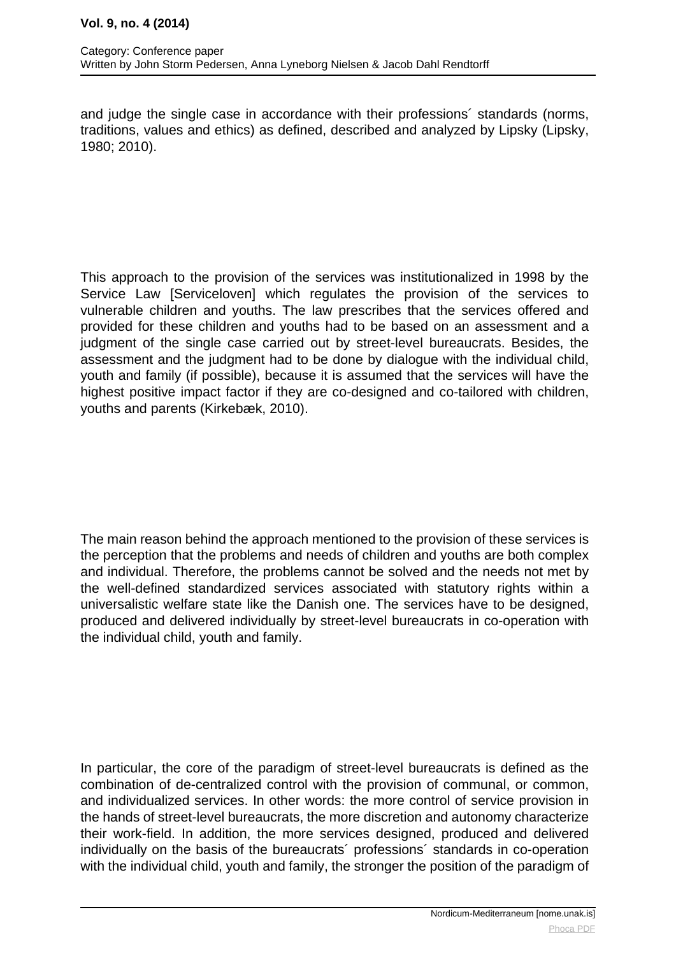and judge the single case in accordance with their professions´ standards (norms, traditions, values and ethics) as defined, described and analyzed by Lipsky (Lipsky, 1980; 2010).

This approach to the provision of the services was institutionalized in 1998 by the Service Law [Serviceloven] which regulates the provision of the services to vulnerable children and youths. The law prescribes that the services offered and provided for these children and youths had to be based on an assessment and a judgment of the single case carried out by street-level bureaucrats. Besides, the assessment and the judgment had to be done by dialogue with the individual child, youth and family (if possible), because it is assumed that the services will have the highest positive impact factor if they are co-designed and co-tailored with children, youths and parents (Kirkebæk, 2010).

The main reason behind the approach mentioned to the provision of these services is the perception that the problems and needs of children and youths are both complex and individual. Therefore, the problems cannot be solved and the needs not met by the well-defined standardized services associated with statutory rights within a universalistic welfare state like the Danish one. The services have to be designed, produced and delivered individually by street-level bureaucrats in co-operation with the individual child, youth and family.

In particular, the core of the paradigm of street-level bureaucrats is defined as the combination of de-centralized control with the provision of communal, or common, and individualized services. In other words: the more control of service provision in the hands of street-level bureaucrats, the more discretion and autonomy characterize their work-field. In addition, the more services designed, produced and delivered individually on the basis of the bureaucrats´ professions´ standards in co-operation with the individual child, youth and family, the stronger the position of the paradigm of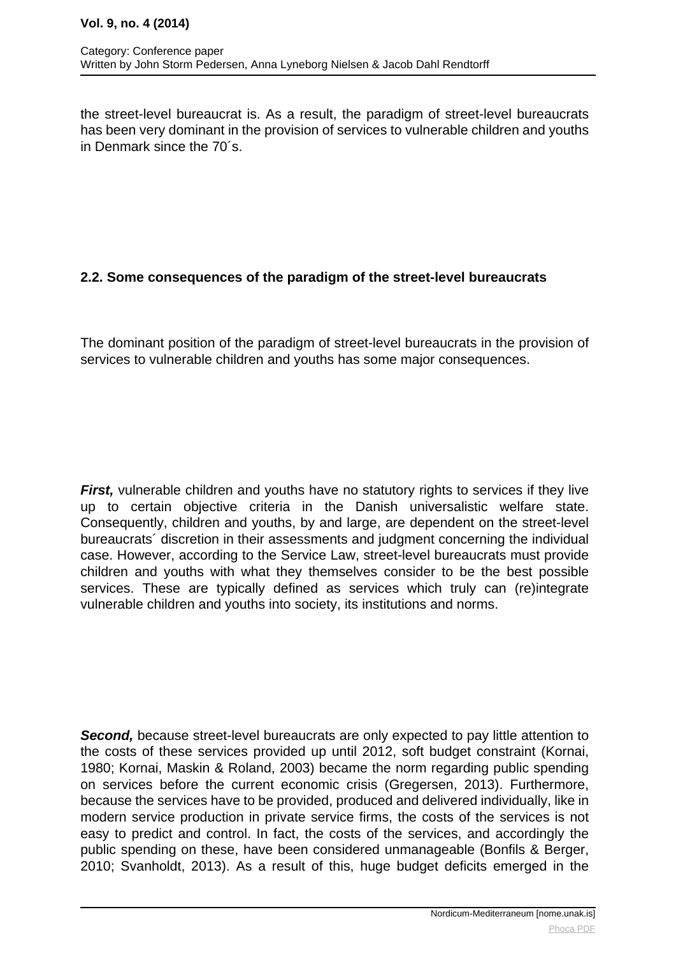the street-level bureaucrat is. As a result, the paradigm of street-level bureaucrats has been very dominant in the provision of services to vulnerable children and youths in Denmark since the 70´s.

# **2.2. Some consequences of the paradigm of the street-level bureaucrats**

The dominant position of the paradigm of street-level bureaucrats in the provision of services to vulnerable children and youths has some major consequences.

**First,** vulnerable children and youths have no statutory rights to services if they live up to certain objective criteria in the Danish universalistic welfare state. Consequently, children and youths, by and large, are dependent on the street-level bureaucrats´ discretion in their assessments and judgment concerning the individual case. However, according to the Service Law, street-level bureaucrats must provide children and youths with what they themselves consider to be the best possible services. These are typically defined as services which truly can (re)integrate vulnerable children and youths into society, its institutions and norms.

**Second,** because street-level bureaucrats are only expected to pay little attention to the costs of these services provided up until 2012, soft budget constraint (Kornai, 1980; Kornai, Maskin & Roland, 2003) became the norm regarding public spending on services before the current economic crisis (Gregersen, 2013). Furthermore, because the services have to be provided, produced and delivered individually, like in modern service production in private service firms, the costs of the services is not easy to predict and control. In fact, the costs of the services, and accordingly the public spending on these, have been considered unmanageable (Bonfils & Berger, 2010; Svanholdt, 2013). As a result of this, huge budget deficits emerged in the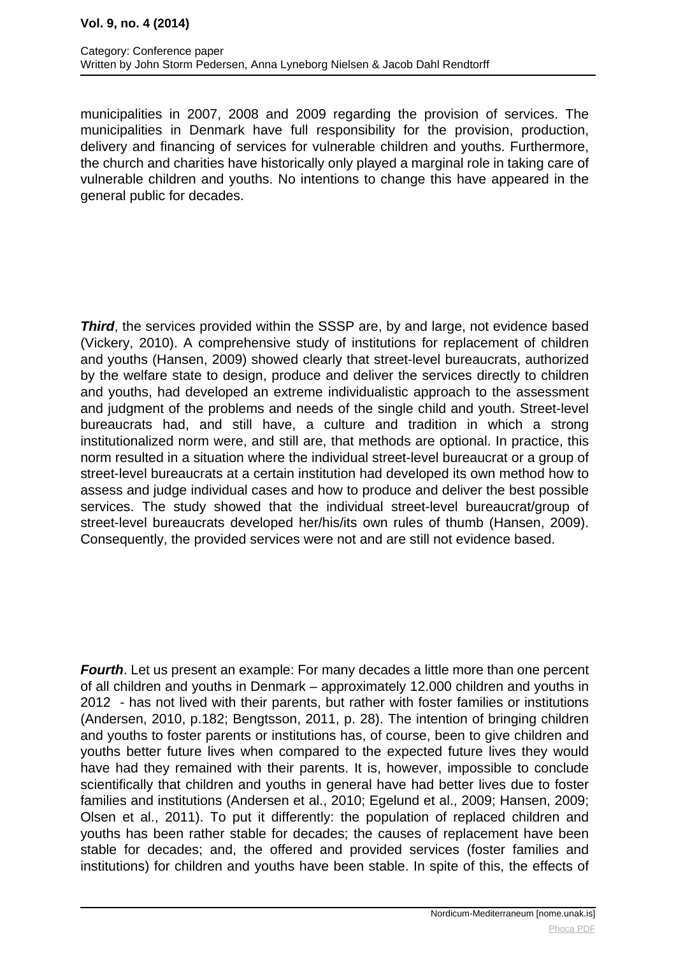municipalities in 2007, 2008 and 2009 regarding the provision of services. The municipalities in Denmark have full responsibility for the provision, production, delivery and financing of services for vulnerable children and youths. Furthermore, the church and charities have historically only played a marginal role in taking care of vulnerable children and youths. No intentions to change this have appeared in the general public for decades.

**Third**, the services provided within the SSSP are, by and large, not evidence based (Vickery, 2010). A comprehensive study of institutions for replacement of children and youths (Hansen, 2009) showed clearly that street-level bureaucrats, authorized by the welfare state to design, produce and deliver the services directly to children and youths, had developed an extreme individualistic approach to the assessment and judgment of the problems and needs of the single child and youth. Street-level bureaucrats had, and still have, a culture and tradition in which a strong institutionalized norm were, and still are, that methods are optional. In practice, this norm resulted in a situation where the individual street-level bureaucrat or a group of street-level bureaucrats at a certain institution had developed its own method how to assess and judge individual cases and how to produce and deliver the best possible services. The study showed that the individual street-level bureaucrat/group of street-level bureaucrats developed her/his/its own rules of thumb (Hansen, 2009). Consequently, the provided services were not and are still not evidence based.

**Fourth**. Let us present an example: For many decades a little more than one percent of all children and youths in Denmark – approximately 12.000 children and youths in 2012 - has not lived with their parents, but rather with foster families or institutions (Andersen, 2010, p.182; Bengtsson, 2011, p. 28). The intention of bringing children and youths to foster parents or institutions has, of course, been to give children and youths better future lives when compared to the expected future lives they would have had they remained with their parents. It is, however, impossible to conclude scientifically that children and youths in general have had better lives due to foster families and institutions (Andersen et al., 2010; Egelund et al., 2009; Hansen, 2009; Olsen et al., 2011). To put it differently: the population of replaced children and youths has been rather stable for decades; the causes of replacement have been stable for decades; and, the offered and provided services (foster families and institutions) for children and youths have been stable. In spite of this, the effects of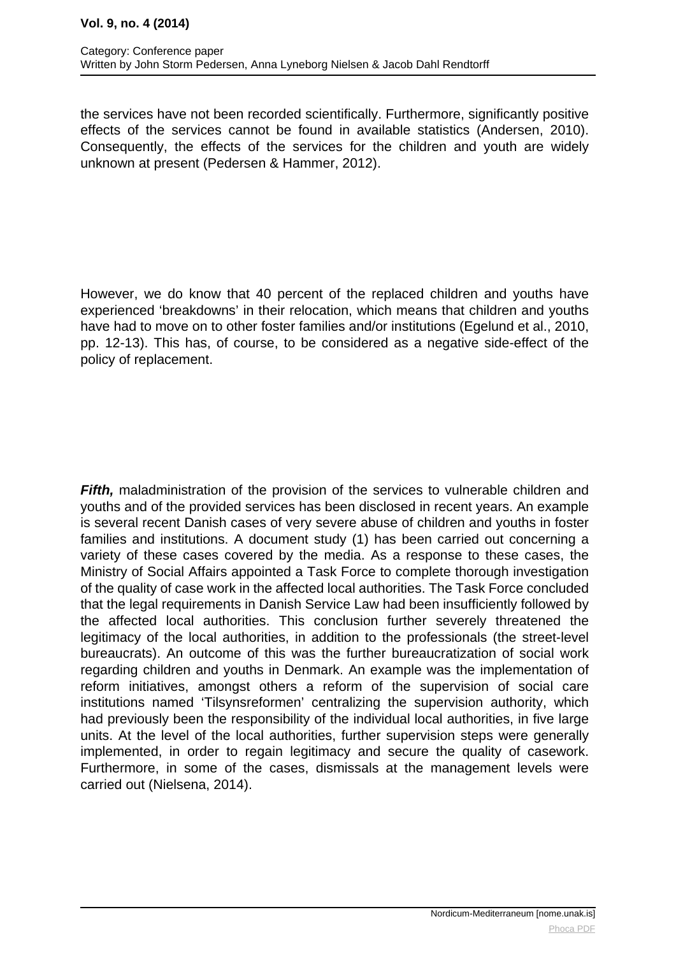#### **Vol. 9, no. 4 (2014)**

the services have not been recorded scientifically. Furthermore, significantly positive effects of the services cannot be found in available statistics (Andersen, 2010). Consequently, the effects of the services for the children and youth are widely unknown at present (Pedersen & Hammer, 2012).

However, we do know that 40 percent of the replaced children and youths have experienced 'breakdowns' in their relocation, which means that children and youths have had to move on to other foster families and/or institutions (Egelund et al., 2010, pp. 12-13). This has, of course, to be considered as a negative side-effect of the policy of replacement.

Fifth, maladministration of the provision of the services to vulnerable children and youths and of the provided services has been disclosed in recent years. An example is several recent Danish cases of very severe abuse of children and youths in foster families and institutions. A document study (1) has been carried out concerning a variety of these cases covered by the media. As a response to these cases, the Ministry of Social Affairs appointed a Task Force to complete thorough investigation of the quality of case work in the affected local authorities. The Task Force concluded that the legal requirements in Danish Service Law had been insufficiently followed by the affected local authorities. This conclusion further severely threatened the legitimacy of the local authorities, in addition to the professionals (the street-level bureaucrats). An outcome of this was the further bureaucratization of social work regarding children and youths in Denmark. An example was the implementation of reform initiatives, amongst others a reform of the supervision of social care institutions named 'Tilsynsreformen' centralizing the supervision authority, which had previously been the responsibility of the individual local authorities, in five large units. At the level of the local authorities, further supervision steps were generally implemented, in order to regain legitimacy and secure the quality of casework. Furthermore, in some of the cases, dismissals at the management levels were carried out (Nielsena, 2014).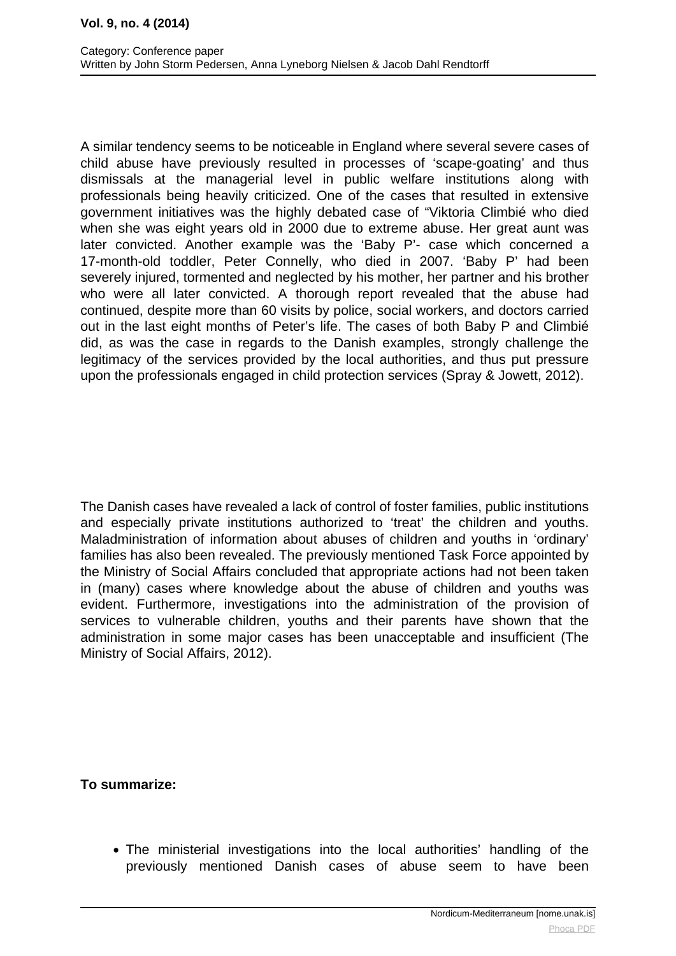A similar tendency seems to be noticeable in England where several severe cases of child abuse have previously resulted in processes of 'scape-goating' and thus dismissals at the managerial level in public welfare institutions along with professionals being heavily criticized. One of the cases that resulted in extensive government initiatives was the highly debated case of "Viktoria Climbié who died when she was eight years old in 2000 due to extreme abuse. Her great aunt was later convicted. Another example was the 'Baby P'- case which concerned a 17-month-old toddler, Peter Connelly, who died in 2007. 'Baby P' had been severely injured, tormented and neglected by his mother, her partner and his brother who were all later convicted. A thorough report revealed that the abuse had continued, despite more than 60 visits by police, social workers, and doctors carried out in the last eight months of Peter's life. The cases of both Baby P and Climbié did, as was the case in regards to the Danish examples, strongly challenge the legitimacy of the services provided by the local authorities, and thus put pressure upon the professionals engaged in child protection services (Spray & Jowett, 2012).

The Danish cases have revealed a lack of control of foster families, public institutions and especially private institutions authorized to 'treat' the children and youths. Maladministration of information about abuses of children and youths in 'ordinary' families has also been revealed. The previously mentioned Task Force appointed by the Ministry of Social Affairs concluded that appropriate actions had not been taken in (many) cases where knowledge about the abuse of children and youths was evident. Furthermore, investigations into the administration of the provision of services to vulnerable children, youths and their parents have shown that the administration in some major cases has been unacceptable and insufficient (The Ministry of Social Affairs, 2012).

**To summarize:**

The ministerial investigations into the local authorities' handling of the previously mentioned Danish cases of abuse seem to have been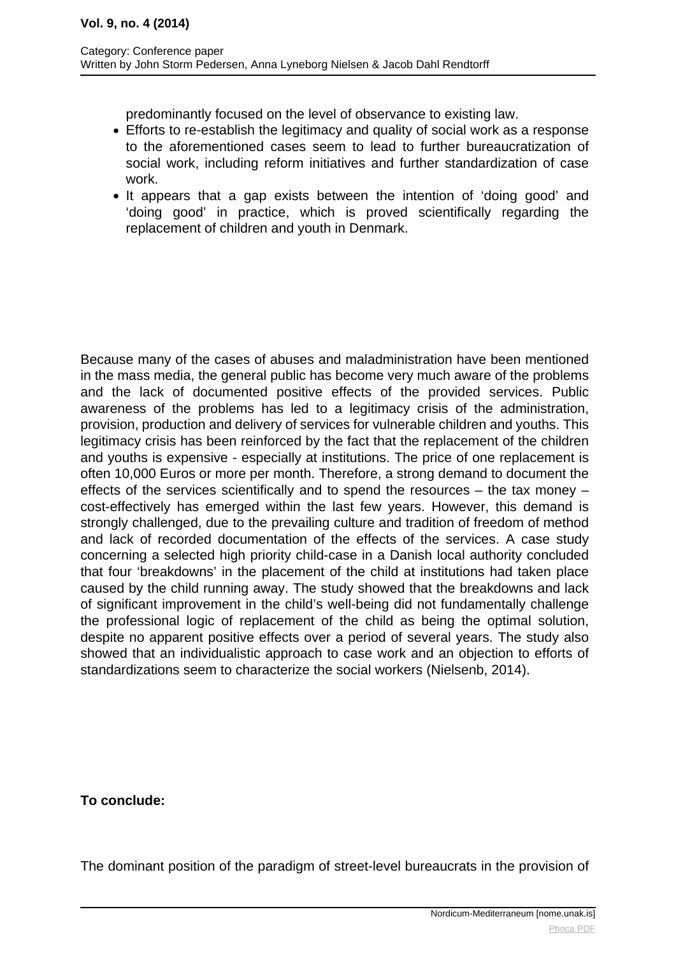predominantly focused on the level of observance to existing law.

- Efforts to re-establish the legitimacy and quality of social work as a response to the aforementioned cases seem to lead to further bureaucratization of social work, including reform initiatives and further standardization of case work.
- It appears that a gap exists between the intention of 'doing good' and 'doing good' in practice, which is proved scientifically regarding the replacement of children and youth in Denmark.

Because many of the cases of abuses and maladministration have been mentioned in the mass media, the general public has become very much aware of the problems and the lack of documented positive effects of the provided services. Public awareness of the problems has led to a legitimacy crisis of the administration, provision, production and delivery of services for vulnerable children and youths. This legitimacy crisis has been reinforced by the fact that the replacement of the children and youths is expensive - especially at institutions. The price of one replacement is often 10,000 Euros or more per month. Therefore, a strong demand to document the effects of the services scientifically and to spend the resources – the tax money – cost-effectively has emerged within the last few years. However, this demand is strongly challenged, due to the prevailing culture and tradition of freedom of method and lack of recorded documentation of the effects of the services. A case study concerning a selected high priority child-case in a Danish local authority concluded that four 'breakdowns' in the placement of the child at institutions had taken place caused by the child running away. The study showed that the breakdowns and lack of significant improvement in the child's well-being did not fundamentally challenge the professional logic of replacement of the child as being the optimal solution, despite no apparent positive effects over a period of several years. The study also showed that an individualistic approach to case work and an objection to efforts of standardizations seem to characterize the social workers (Nielsenb, 2014).

## **To conclude:**

The dominant position of the paradigm of street-level bureaucrats in the provision of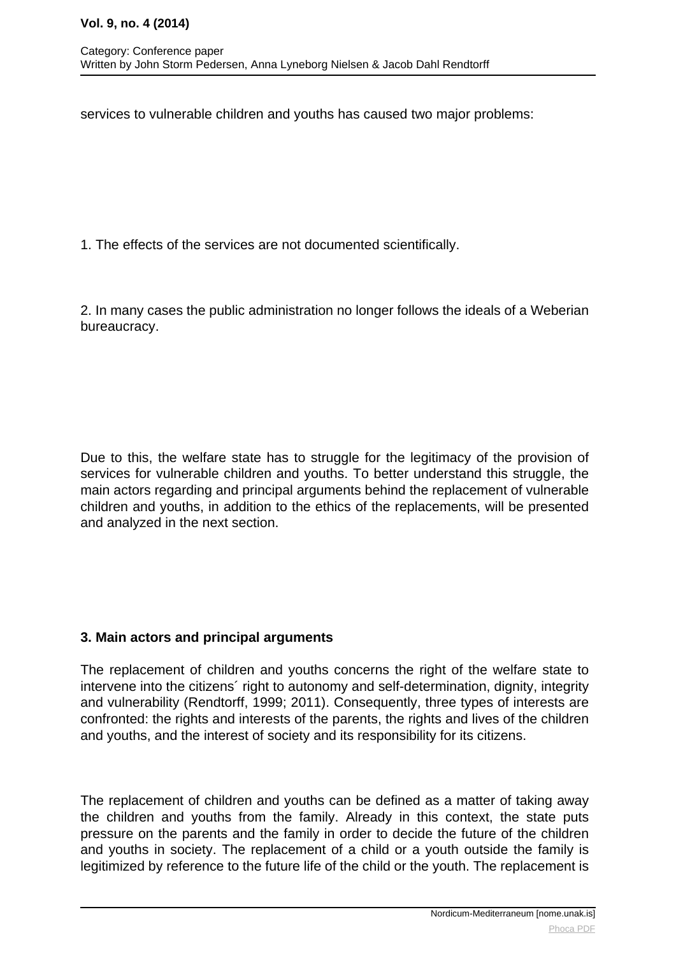services to vulnerable children and youths has caused two major problems:

1. The effects of the services are not documented scientifically.

2. In many cases the public administration no longer follows the ideals of a Weberian bureaucracy.

Due to this, the welfare state has to struggle for the legitimacy of the provision of services for vulnerable children and youths. To better understand this struggle, the main actors regarding and principal arguments behind the replacement of vulnerable children and youths, in addition to the ethics of the replacements, will be presented and analyzed in the next section.

## **3. Main actors and principal arguments**

The replacement of children and youths concerns the right of the welfare state to intervene into the citizens´ right to autonomy and self-determination, dignity, integrity and vulnerability (Rendtorff, 1999; 2011). Consequently, three types of interests are confronted: the rights and interests of the parents, the rights and lives of the children and youths, and the interest of society and its responsibility for its citizens.

The replacement of children and youths can be defined as a matter of taking away the children and youths from the family. Already in this context, the state puts pressure on the parents and the family in order to decide the future of the children and youths in society. The replacement of a child or a youth outside the family is legitimized by reference to the future life of the child or the youth. The replacement is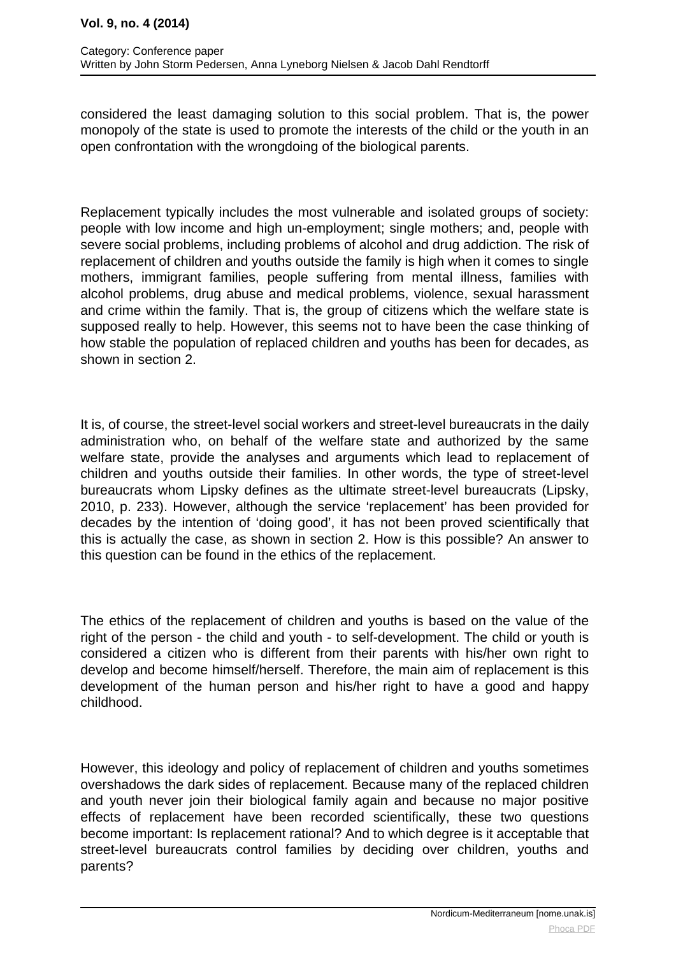#### **Vol. 9, no. 4 (2014)**

considered the least damaging solution to this social problem. That is, the power monopoly of the state is used to promote the interests of the child or the youth in an open confrontation with the wrongdoing of the biological parents.

Replacement typically includes the most vulnerable and isolated groups of society: people with low income and high un-employment; single mothers; and, people with severe social problems, including problems of alcohol and drug addiction. The risk of replacement of children and youths outside the family is high when it comes to single mothers, immigrant families, people suffering from mental illness, families with alcohol problems, drug abuse and medical problems, violence, sexual harassment and crime within the family. That is, the group of citizens which the welfare state is supposed really to help. However, this seems not to have been the case thinking of how stable the population of replaced children and youths has been for decades, as shown in section 2.

It is, of course, the street-level social workers and street-level bureaucrats in the daily administration who, on behalf of the welfare state and authorized by the same welfare state, provide the analyses and arguments which lead to replacement of children and youths outside their families. In other words, the type of street-level bureaucrats whom Lipsky defines as the ultimate street-level bureaucrats (Lipsky, 2010, p. 233). However, although the service 'replacement' has been provided for decades by the intention of 'doing good', it has not been proved scientifically that this is actually the case, as shown in section 2. How is this possible? An answer to this question can be found in the ethics of the replacement.

The ethics of the replacement of children and youths is based on the value of the right of the person - the child and youth - to self-development. The child or youth is considered a citizen who is different from their parents with his/her own right to develop and become himself/herself. Therefore, the main aim of replacement is this development of the human person and his/her right to have a good and happy childhood.

However, this ideology and policy of replacement of children and youths sometimes overshadows the dark sides of replacement. Because many of the replaced children and youth never join their biological family again and because no major positive effects of replacement have been recorded scientifically, these two questions become important: Is replacement rational? And to which degree is it acceptable that street-level bureaucrats control families by deciding over children, youths and parents?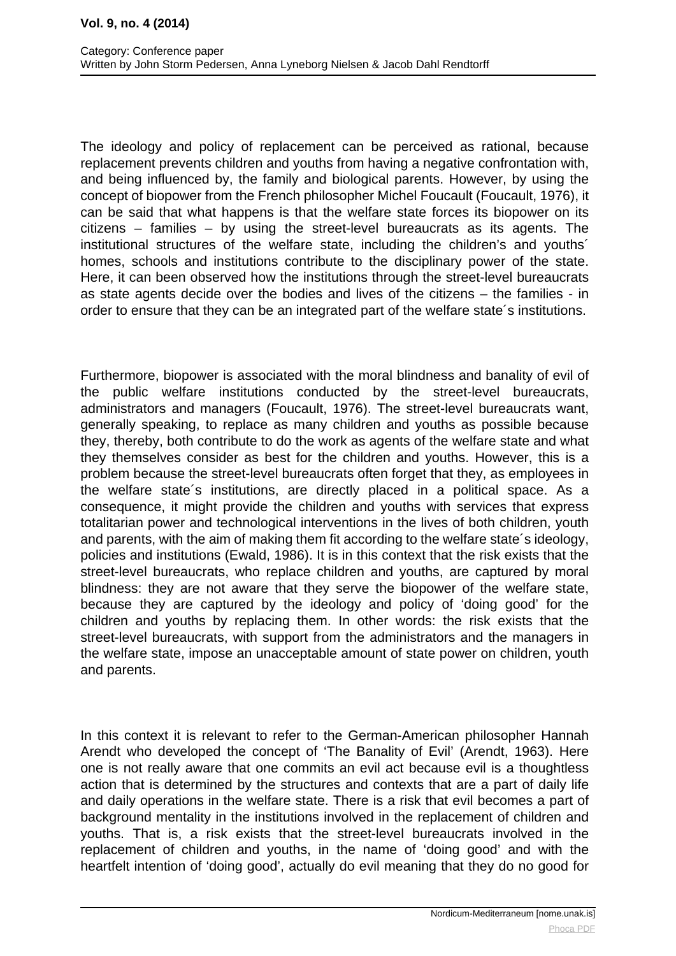The ideology and policy of replacement can be perceived as rational, because replacement prevents children and youths from having a negative confrontation with, and being influenced by, the family and biological parents. However, by using the concept of biopower from the French philosopher Michel Foucault (Foucault, 1976), it can be said that what happens is that the welfare state forces its biopower on its citizens – families – by using the street-level bureaucrats as its agents. The institutional structures of the welfare state, including the children's and youths´ homes, schools and institutions contribute to the disciplinary power of the state. Here, it can been observed how the institutions through the street-level bureaucrats as state agents decide over the bodies and lives of the citizens – the families - in order to ensure that they can be an integrated part of the welfare state´s institutions.

Furthermore, biopower is associated with the moral blindness and banality of evil of the public welfare institutions conducted by the street-level bureaucrats, administrators and managers (Foucault, 1976). The street-level bureaucrats want, generally speaking, to replace as many children and youths as possible because they, thereby, both contribute to do the work as agents of the welfare state and what they themselves consider as best for the children and youths. However, this is a problem because the street-level bureaucrats often forget that they, as employees in the welfare state´s institutions, are directly placed in a political space. As a consequence, it might provide the children and youths with services that express totalitarian power and technological interventions in the lives of both children, youth and parents, with the aim of making them fit according to the welfare state´s ideology, policies and institutions (Ewald, 1986). It is in this context that the risk exists that the street-level bureaucrats, who replace children and youths, are captured by moral blindness: they are not aware that they serve the biopower of the welfare state, because they are captured by the ideology and policy of 'doing good' for the children and youths by replacing them. In other words: the risk exists that the street-level bureaucrats, with support from the administrators and the managers in the welfare state, impose an unacceptable amount of state power on children, youth and parents.

In this context it is relevant to refer to the German-American philosopher Hannah Arendt who developed the concept of 'The Banality of Evil' (Arendt, 1963). Here one is not really aware that one commits an evil act because evil is a thoughtless action that is determined by the structures and contexts that are a part of daily life and daily operations in the welfare state. There is a risk that evil becomes a part of background mentality in the institutions involved in the replacement of children and youths. That is, a risk exists that the street-level bureaucrats involved in the replacement of children and youths, in the name of 'doing good' and with the heartfelt intention of 'doing good', actually do evil meaning that they do no good for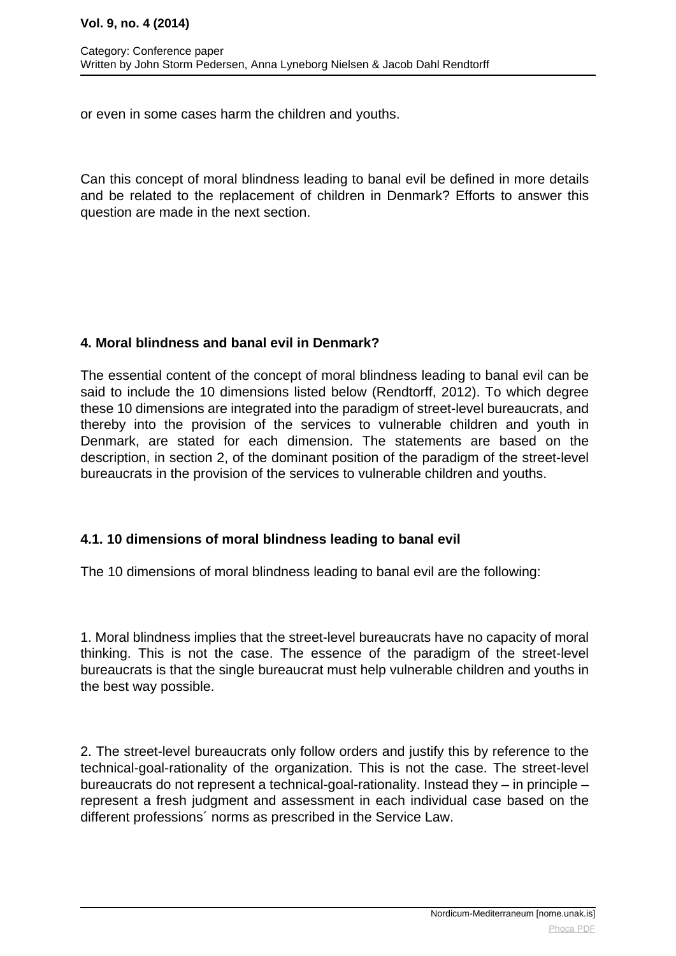#### **Vol. 9, no. 4 (2014)**

or even in some cases harm the children and youths.

Can this concept of moral blindness leading to banal evil be defined in more details and be related to the replacement of children in Denmark? Efforts to answer this question are made in the next section.

## **4. Moral blindness and banal evil in Denmark?**

The essential content of the concept of moral blindness leading to banal evil can be said to include the 10 dimensions listed below (Rendtorff, 2012). To which degree these 10 dimensions are integrated into the paradigm of street-level bureaucrats, and thereby into the provision of the services to vulnerable children and youth in Denmark, are stated for each dimension. The statements are based on the description, in section 2, of the dominant position of the paradigm of the street-level bureaucrats in the provision of the services to vulnerable children and youths.

## **4.1. 10 dimensions of moral blindness leading to banal evil**

The 10 dimensions of moral blindness leading to banal evil are the following:

1. Moral blindness implies that the street-level bureaucrats have no capacity of moral thinking. This is not the case. The essence of the paradigm of the street-level bureaucrats is that the single bureaucrat must help vulnerable children and youths in the best way possible.

2. The street-level bureaucrats only follow orders and justify this by reference to the technical-goal-rationality of the organization. This is not the case. The street-level bureaucrats do not represent a technical-goal-rationality. Instead they – in principle – represent a fresh judgment and assessment in each individual case based on the different professions´ norms as prescribed in the Service Law.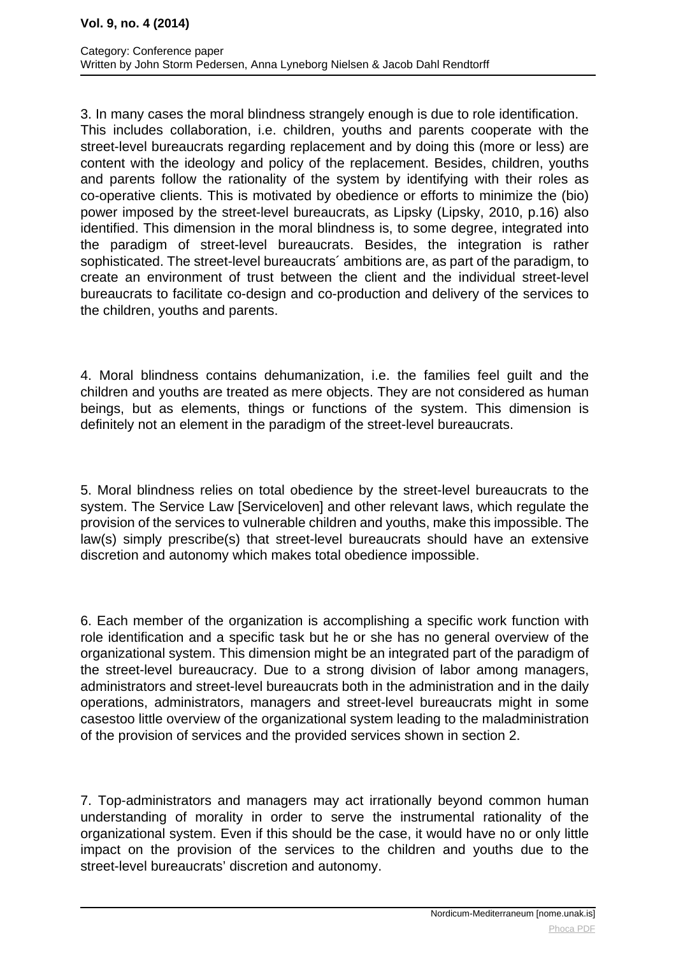3. In many cases the moral blindness strangely enough is due to role identification. This includes collaboration, i.e. children, youths and parents cooperate with the street-level bureaucrats regarding replacement and by doing this (more or less) are content with the ideology and policy of the replacement. Besides, children, youths and parents follow the rationality of the system by identifying with their roles as co-operative clients. This is motivated by obedience or efforts to minimize the (bio) power imposed by the street-level bureaucrats, as Lipsky (Lipsky, 2010, p.16) also identified. This dimension in the moral blindness is, to some degree, integrated into the paradigm of street-level bureaucrats. Besides, the integration is rather sophisticated. The street-level bureaucrats´ ambitions are, as part of the paradigm, to create an environment of trust between the client and the individual street-level bureaucrats to facilitate co-design and co-production and delivery of the services to the children, youths and parents.

4. Moral blindness contains dehumanization, i.e. the families feel guilt and the children and youths are treated as mere objects. They are not considered as human beings, but as elements, things or functions of the system. This dimension is definitely not an element in the paradigm of the street-level bureaucrats.

5. Moral blindness relies on total obedience by the street-level bureaucrats to the system. The Service Law [Serviceloven] and other relevant laws, which regulate the provision of the services to vulnerable children and youths, make this impossible. The law(s) simply prescribe(s) that street-level bureaucrats should have an extensive discretion and autonomy which makes total obedience impossible.

6. Each member of the organization is accomplishing a specific work function with role identification and a specific task but he or she has no general overview of the organizational system. This dimension might be an integrated part of the paradigm of the street-level bureaucracy. Due to a strong division of labor among managers, administrators and street-level bureaucrats both in the administration and in the daily operations, administrators, managers and street-level bureaucrats might in some casestoo little overview of the organizational system leading to the maladministration of the provision of services and the provided services shown in section 2.

7. Top-administrators and managers may act irrationally beyond common human understanding of morality in order to serve the instrumental rationality of the organizational system. Even if this should be the case, it would have no or only little impact on the provision of the services to the children and youths due to the street-level bureaucrats' discretion and autonomy.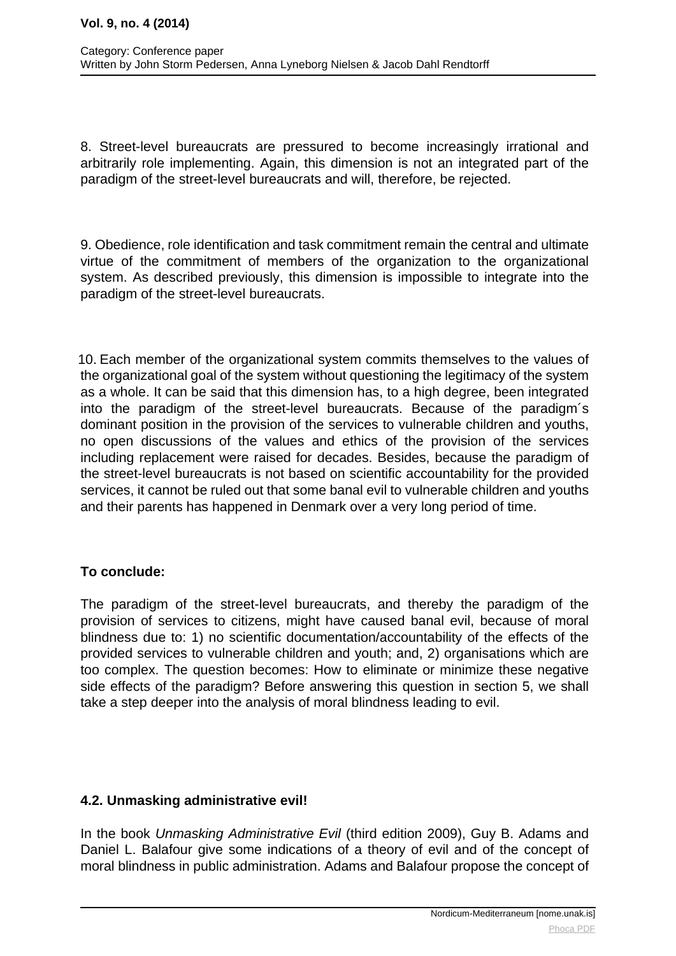8. Street-level bureaucrats are pressured to become increasingly irrational and arbitrarily role implementing. Again, this dimension is not an integrated part of the paradigm of the street-level bureaucrats and will, therefore, be rejected.

9. Obedience, role identification and task commitment remain the central and ultimate virtue of the commitment of members of the organization to the organizational system. As described previously, this dimension is impossible to integrate into the paradigm of the street-level bureaucrats.

 10. Each member of the organizational system commits themselves to the values of the organizational goal of the system without questioning the legitimacy of the system as a whole. It can be said that this dimension has, to a high degree, been integrated into the paradigm of the street-level bureaucrats. Because of the paradigm´s dominant position in the provision of the services to vulnerable children and youths, no open discussions of the values and ethics of the provision of the services including replacement were raised for decades. Besides, because the paradigm of the street-level bureaucrats is not based on scientific accountability for the provided services, it cannot be ruled out that some banal evil to vulnerable children and youths and their parents has happened in Denmark over a very long period of time.

## **To conclude:**

The paradigm of the street-level bureaucrats, and thereby the paradigm of the provision of services to citizens, might have caused banal evil, because of moral blindness due to: 1) no scientific documentation/accountability of the effects of the provided services to vulnerable children and youth; and, 2) organisations which are too complex. The question becomes: How to eliminate or minimize these negative side effects of the paradigm? Before answering this question in section 5, we shall take a step deeper into the analysis of moral blindness leading to evil.

## **4.2. Unmasking administrative evil!**

In the book Unmasking Administrative Evil (third edition 2009), Guy B. Adams and Daniel L. Balafour give some indications of a theory of evil and of the concept of moral blindness in public administration. Adams and Balafour propose the concept of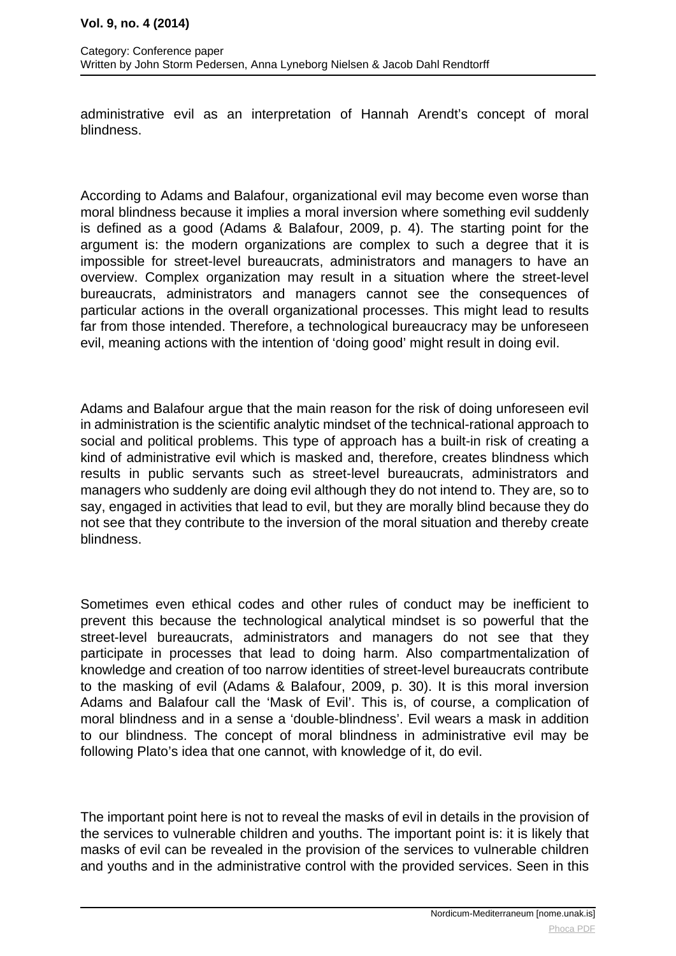administrative evil as an interpretation of Hannah Arendt's concept of moral blindness.

According to Adams and Balafour, organizational evil may become even worse than moral blindness because it implies a moral inversion where something evil suddenly is defined as a good (Adams & Balafour, 2009, p. 4). The starting point for the argument is: the modern organizations are complex to such a degree that it is impossible for street-level bureaucrats, administrators and managers to have an overview. Complex organization may result in a situation where the street-level bureaucrats, administrators and managers cannot see the consequences of particular actions in the overall organizational processes. This might lead to results far from those intended. Therefore, a technological bureaucracy may be unforeseen evil, meaning actions with the intention of 'doing good' might result in doing evil.

Adams and Balafour argue that the main reason for the risk of doing unforeseen evil in administration is the scientific analytic mindset of the technical-rational approach to social and political problems. This type of approach has a built-in risk of creating a kind of administrative evil which is masked and, therefore, creates blindness which results in public servants such as street-level bureaucrats, administrators and managers who suddenly are doing evil although they do not intend to. They are, so to say, engaged in activities that lead to evil, but they are morally blind because they do not see that they contribute to the inversion of the moral situation and thereby create blindness.

Sometimes even ethical codes and other rules of conduct may be inefficient to prevent this because the technological analytical mindset is so powerful that the street-level bureaucrats, administrators and managers do not see that they participate in processes that lead to doing harm. Also compartmentalization of knowledge and creation of too narrow identities of street-level bureaucrats contribute to the masking of evil (Adams & Balafour, 2009, p. 30). It is this moral inversion Adams and Balafour call the 'Mask of Evil'. This is, of course, a complication of moral blindness and in a sense a 'double-blindness'. Evil wears a mask in addition to our blindness. The concept of moral blindness in administrative evil may be following Plato's idea that one cannot, with knowledge of it, do evil.

The important point here is not to reveal the masks of evil in details in the provision of the services to vulnerable children and youths. The important point is: it is likely that masks of evil can be revealed in the provision of the services to vulnerable children and youths and in the administrative control with the provided services. Seen in this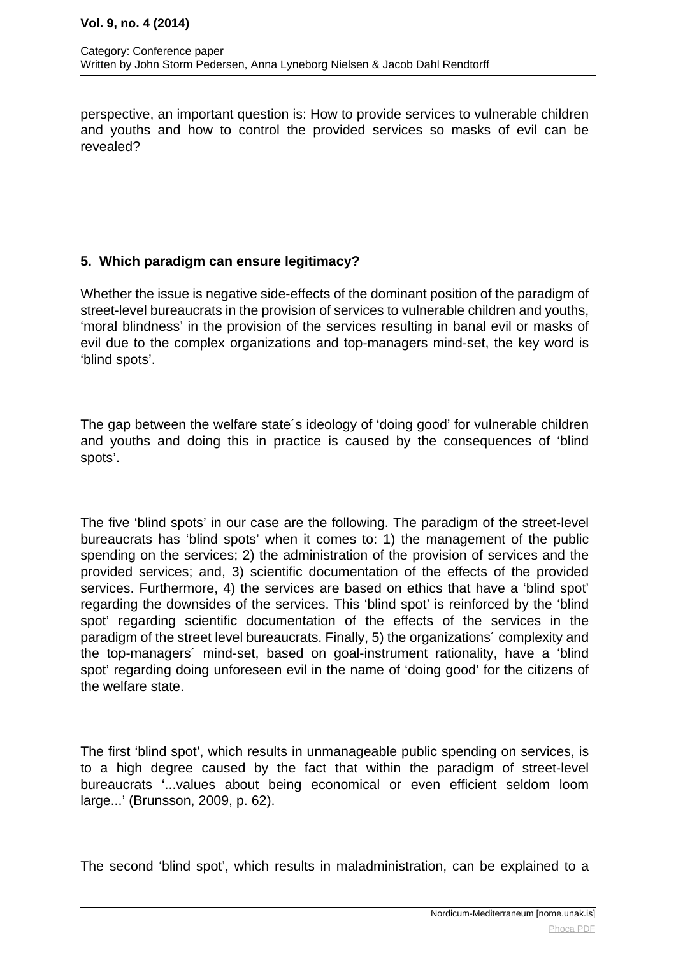perspective, an important question is: How to provide services to vulnerable children and youths and how to control the provided services so masks of evil can be revealed?

## **5. Which paradigm can ensure legitimacy?**

Whether the issue is negative side-effects of the dominant position of the paradigm of street-level bureaucrats in the provision of services to vulnerable children and youths, 'moral blindness' in the provision of the services resulting in banal evil or masks of evil due to the complex organizations and top-managers mind-set, the key word is 'blind spots'.

The gap between the welfare state´s ideology of 'doing good' for vulnerable children and youths and doing this in practice is caused by the consequences of 'blind spots'.

The five 'blind spots' in our case are the following. The paradigm of the street-level bureaucrats has 'blind spots' when it comes to: 1) the management of the public spending on the services; 2) the administration of the provision of services and the provided services; and, 3) scientific documentation of the effects of the provided services. Furthermore, 4) the services are based on ethics that have a 'blind spot' regarding the downsides of the services. This 'blind spot' is reinforced by the 'blind spot' regarding scientific documentation of the effects of the services in the paradigm of the street level bureaucrats. Finally, 5) the organizations´ complexity and the top-managers´ mind-set, based on goal-instrument rationality, have a 'blind spot' regarding doing unforeseen evil in the name of 'doing good' for the citizens of the welfare state.

The first 'blind spot', which results in unmanageable public spending on services, is to a high degree caused by the fact that within the paradigm of street-level bureaucrats '...values about being economical or even efficient seldom loom large...' (Brunsson, 2009, p. 62).

The second 'blind spot', which results in maladministration, can be explained to a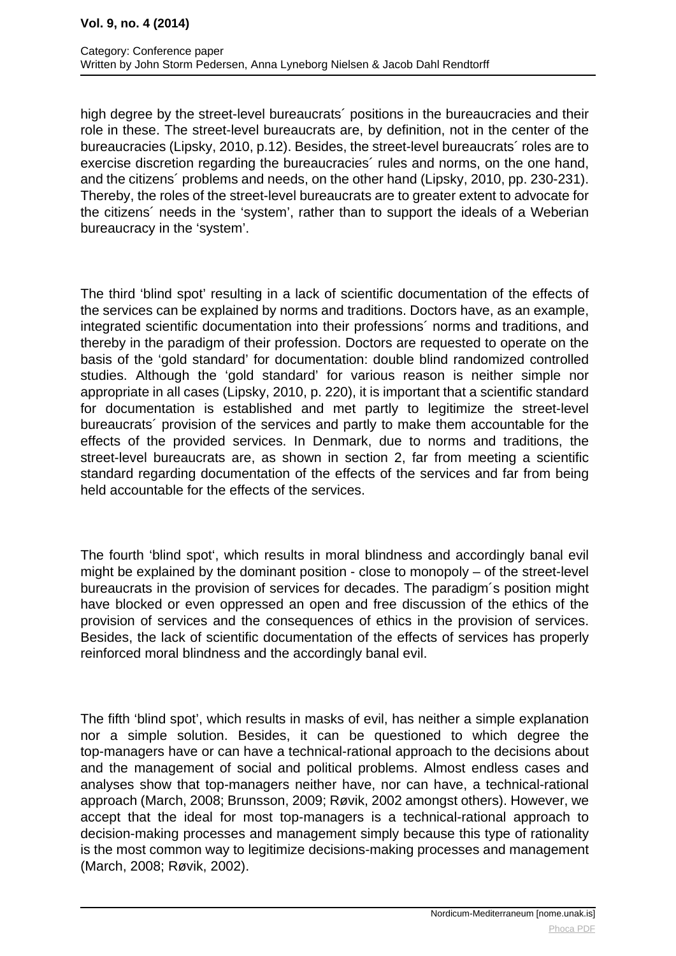high degree by the street-level bureaucrats´ positions in the bureaucracies and their role in these. The street-level bureaucrats are, by definition, not in the center of the bureaucracies (Lipsky, 2010, p.12). Besides, the street-level bureaucrats´ roles are to exercise discretion regarding the bureaucracies´ rules and norms, on the one hand, and the citizens´ problems and needs, on the other hand (Lipsky, 2010, pp. 230-231). Thereby, the roles of the street-level bureaucrats are to greater extent to advocate for the citizens´ needs in the 'system', rather than to support the ideals of a Weberian bureaucracy in the 'system'.

The third 'blind spot' resulting in a lack of scientific documentation of the effects of the services can be explained by norms and traditions. Doctors have, as an example, integrated scientific documentation into their professions´ norms and traditions, and thereby in the paradigm of their profession. Doctors are requested to operate on the basis of the 'gold standard' for documentation: double blind randomized controlled studies. Although the 'gold standard' for various reason is neither simple nor appropriate in all cases (Lipsky, 2010, p. 220), it is important that a scientific standard for documentation is established and met partly to legitimize the street-level bureaucrats´ provision of the services and partly to make them accountable for the effects of the provided services. In Denmark, due to norms and traditions, the street-level bureaucrats are, as shown in section 2, far from meeting a scientific standard regarding documentation of the effects of the services and far from being held accountable for the effects of the services.

The fourth 'blind spot', which results in moral blindness and accordingly banal evil might be explained by the dominant position - close to monopoly – of the street-level bureaucrats in the provision of services for decades. The paradigm´s position might have blocked or even oppressed an open and free discussion of the ethics of the provision of services and the consequences of ethics in the provision of services. Besides, the lack of scientific documentation of the effects of services has properly reinforced moral blindness and the accordingly banal evil.

The fifth 'blind spot', which results in masks of evil, has neither a simple explanation nor a simple solution. Besides, it can be questioned to which degree the top-managers have or can have a technical-rational approach to the decisions about and the management of social and political problems. Almost endless cases and analyses show that top-managers neither have, nor can have, a technical-rational approach (March, 2008; Brunsson, 2009; Røvik, 2002 amongst others). However, we accept that the ideal for most top-managers is a technical-rational approach to decision-making processes and management simply because this type of rationality is the most common way to legitimize decisions-making processes and management (March, 2008; Røvik, 2002).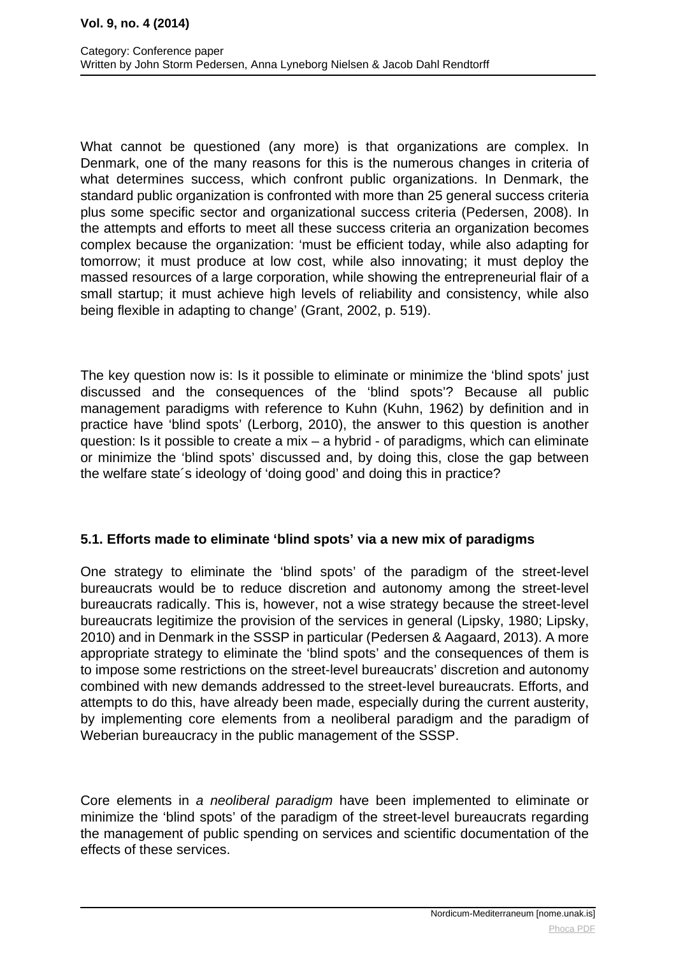What cannot be questioned (any more) is that organizations are complex. In Denmark, one of the many reasons for this is the numerous changes in criteria of what determines success, which confront public organizations. In Denmark, the standard public organization is confronted with more than 25 general success criteria plus some specific sector and organizational success criteria (Pedersen, 2008). In the attempts and efforts to meet all these success criteria an organization becomes complex because the organization: 'must be efficient today, while also adapting for tomorrow; it must produce at low cost, while also innovating; it must deploy the massed resources of a large corporation, while showing the entrepreneurial flair of a small startup; it must achieve high levels of reliability and consistency, while also being flexible in adapting to change' (Grant, 2002, p. 519).

The key question now is: Is it possible to eliminate or minimize the 'blind spots' just discussed and the consequences of the 'blind spots'? Because all public management paradigms with reference to Kuhn (Kuhn, 1962) by definition and in practice have 'blind spots' (Lerborg, 2010), the answer to this question is another question: Is it possible to create a mix – a hybrid - of paradigms, which can eliminate or minimize the 'blind spots' discussed and, by doing this, close the gap between the welfare state´s ideology of 'doing good' and doing this in practice?

## **5.1. Efforts made to eliminate 'blind spots' via a new mix of paradigms**

One strategy to eliminate the 'blind spots' of the paradigm of the street-level bureaucrats would be to reduce discretion and autonomy among the street-level bureaucrats radically. This is, however, not a wise strategy because the street-level bureaucrats legitimize the provision of the services in general (Lipsky, 1980; Lipsky, 2010) and in Denmark in the SSSP in particular (Pedersen & Aagaard, 2013). A more appropriate strategy to eliminate the 'blind spots' and the consequences of them is to impose some restrictions on the street-level bureaucrats' discretion and autonomy combined with new demands addressed to the street-level bureaucrats. Efforts, and attempts to do this, have already been made, especially during the current austerity, by implementing core elements from a neoliberal paradigm and the paradigm of Weberian bureaucracy in the public management of the SSSP.

Core elements in a neoliberal paradigm have been implemented to eliminate or minimize the 'blind spots' of the paradigm of the street-level bureaucrats regarding the management of public spending on services and scientific documentation of the effects of these services.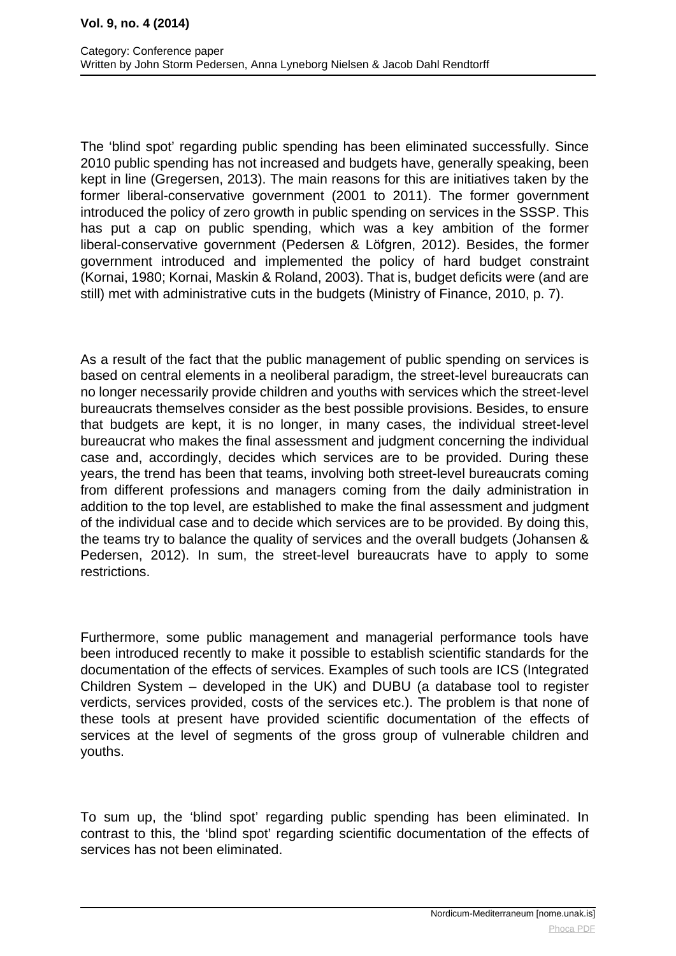The 'blind spot' regarding public spending has been eliminated successfully. Since 2010 public spending has not increased and budgets have, generally speaking, been kept in line (Gregersen, 2013). The main reasons for this are initiatives taken by the former liberal-conservative government (2001 to 2011). The former government introduced the policy of zero growth in public spending on services in the SSSP. This has put a cap on public spending, which was a key ambition of the former liberal-conservative government (Pedersen & Löfgren, 2012). Besides, the former government introduced and implemented the policy of hard budget constraint (Kornai, 1980; Kornai, Maskin & Roland, 2003). That is, budget deficits were (and are still) met with administrative cuts in the budgets (Ministry of Finance, 2010, p. 7).

As a result of the fact that the public management of public spending on services is based on central elements in a neoliberal paradigm, the street-level bureaucrats can no longer necessarily provide children and youths with services which the street-level bureaucrats themselves consider as the best possible provisions. Besides, to ensure that budgets are kept, it is no longer, in many cases, the individual street-level bureaucrat who makes the final assessment and judgment concerning the individual case and, accordingly, decides which services are to be provided. During these years, the trend has been that teams, involving both street-level bureaucrats coming from different professions and managers coming from the daily administration in addition to the top level, are established to make the final assessment and judgment of the individual case and to decide which services are to be provided. By doing this, the teams try to balance the quality of services and the overall budgets (Johansen & Pedersen, 2012). In sum, the street-level bureaucrats have to apply to some restrictions.

Furthermore, some public management and managerial performance tools have been introduced recently to make it possible to establish scientific standards for the documentation of the effects of services. Examples of such tools are ICS (Integrated Children System – developed in the UK) and DUBU (a database tool to register verdicts, services provided, costs of the services etc.). The problem is that none of these tools at present have provided scientific documentation of the effects of services at the level of segments of the gross group of vulnerable children and youths.

To sum up, the 'blind spot' regarding public spending has been eliminated. In contrast to this, the 'blind spot' regarding scientific documentation of the effects of services has not been eliminated.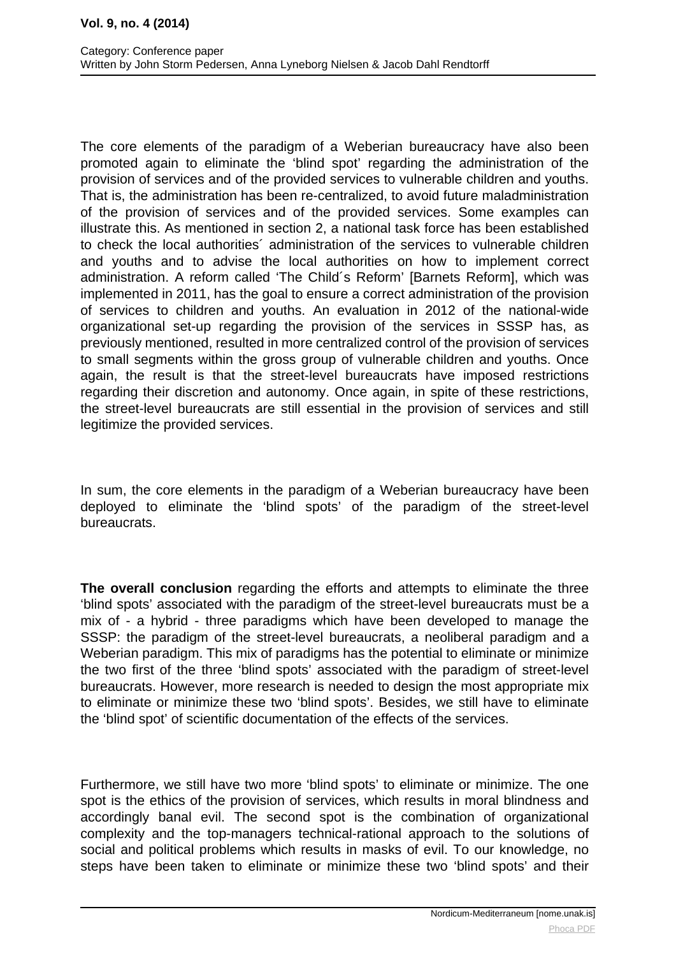The core elements of the paradigm of a Weberian bureaucracy have also been promoted again to eliminate the 'blind spot' regarding the administration of the provision of services and of the provided services to vulnerable children and youths. That is, the administration has been re-centralized, to avoid future maladministration of the provision of services and of the provided services. Some examples can illustrate this. As mentioned in section 2, a national task force has been established to check the local authorities´ administration of the services to vulnerable children and youths and to advise the local authorities on how to implement correct administration. A reform called 'The Child´s Reform' [Barnets Reform], which was implemented in 2011, has the goal to ensure a correct administration of the provision of services to children and youths. An evaluation in 2012 of the national-wide organizational set-up regarding the provision of the services in SSSP has, as previously mentioned, resulted in more centralized control of the provision of services to small segments within the gross group of vulnerable children and youths. Once again, the result is that the street-level bureaucrats have imposed restrictions regarding their discretion and autonomy. Once again, in spite of these restrictions, the street-level bureaucrats are still essential in the provision of services and still legitimize the provided services.

In sum, the core elements in the paradigm of a Weberian bureaucracy have been deployed to eliminate the 'blind spots' of the paradigm of the street-level bureaucrats.

**The overall conclusion** regarding the efforts and attempts to eliminate the three 'blind spots' associated with the paradigm of the street-level bureaucrats must be a mix of - a hybrid - three paradigms which have been developed to manage the SSSP: the paradigm of the street-level bureaucrats, a neoliberal paradigm and a Weberian paradigm. This mix of paradigms has the potential to eliminate or minimize the two first of the three 'blind spots' associated with the paradigm of street-level bureaucrats. However, more research is needed to design the most appropriate mix to eliminate or minimize these two 'blind spots'. Besides, we still have to eliminate the 'blind spot' of scientific documentation of the effects of the services.

Furthermore, we still have two more 'blind spots' to eliminate or minimize. The one spot is the ethics of the provision of services, which results in moral blindness and accordingly banal evil. The second spot is the combination of organizational complexity and the top-managers technical-rational approach to the solutions of social and political problems which results in masks of evil. To our knowledge, no steps have been taken to eliminate or minimize these two 'blind spots' and their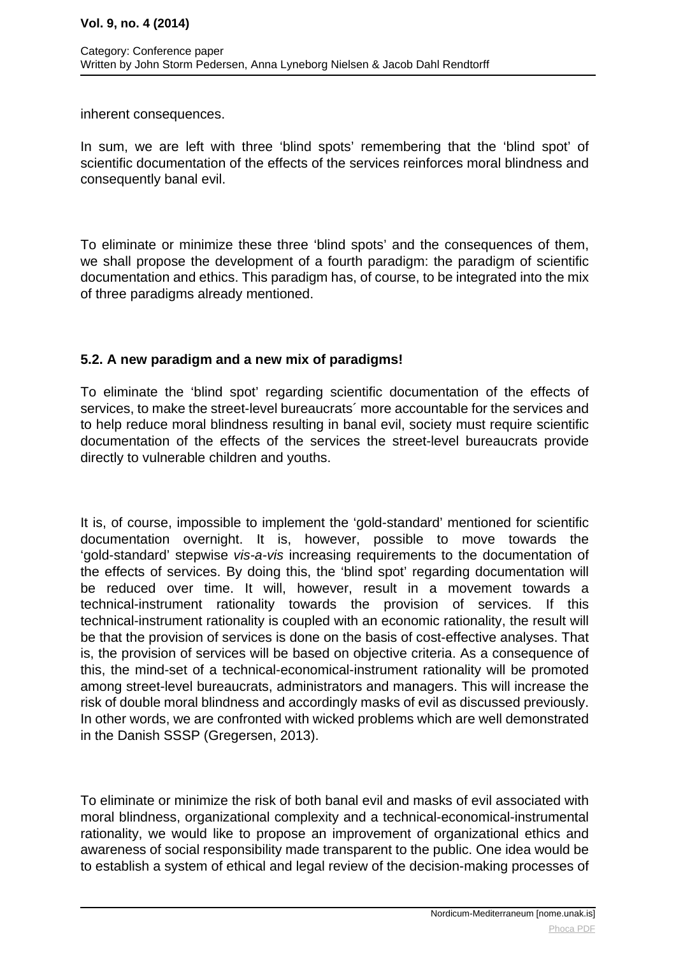inherent consequences.

In sum, we are left with three 'blind spots' remembering that the 'blind spot' of scientific documentation of the effects of the services reinforces moral blindness and consequently banal evil.

To eliminate or minimize these three 'blind spots' and the consequences of them, we shall propose the development of a fourth paradigm: the paradigm of scientific documentation and ethics. This paradigm has, of course, to be integrated into the mix of three paradigms already mentioned.

## **5.2. A new paradigm and a new mix of paradigms!**

To eliminate the 'blind spot' regarding scientific documentation of the effects of services, to make the street-level bureaucrats´ more accountable for the services and to help reduce moral blindness resulting in banal evil, society must require scientific documentation of the effects of the services the street-level bureaucrats provide directly to vulnerable children and youths.

It is, of course, impossible to implement the 'gold-standard' mentioned for scientific documentation overnight. It is, however, possible to move towards the 'gold-standard' stepwise vis-a-vis increasing requirements to the documentation of the effects of services. By doing this, the 'blind spot' regarding documentation will be reduced over time. It will, however, result in a movement towards a technical-instrument rationality towards the provision of services. If this technical-instrument rationality is coupled with an economic rationality, the result will be that the provision of services is done on the basis of cost-effective analyses. That is, the provision of services will be based on objective criteria. As a consequence of this, the mind-set of a technical-economical-instrument rationality will be promoted among street-level bureaucrats, administrators and managers. This will increase the risk of double moral blindness and accordingly masks of evil as discussed previously. In other words, we are confronted with wicked problems which are well demonstrated in the Danish SSSP (Gregersen, 2013).

To eliminate or minimize the risk of both banal evil and masks of evil associated with moral blindness, organizational complexity and a technical-economical-instrumental rationality, we would like to propose an improvement of organizational ethics and awareness of social responsibility made transparent to the public. One idea would be to establish a system of ethical and legal review of the decision-making processes of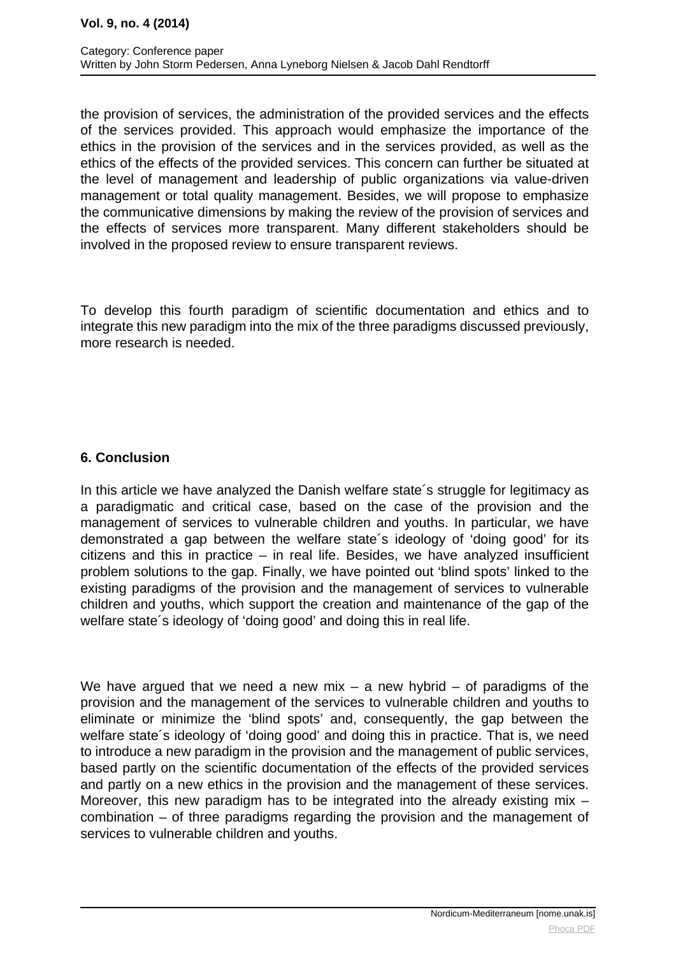the provision of services, the administration of the provided services and the effects of the services provided. This approach would emphasize the importance of the ethics in the provision of the services and in the services provided, as well as the ethics of the effects of the provided services. This concern can further be situated at the level of management and leadership of public organizations via value-driven management or total quality management. Besides, we will propose to emphasize the communicative dimensions by making the review of the provision of services and the effects of services more transparent. Many different stakeholders should be involved in the proposed review to ensure transparent reviews.

To develop this fourth paradigm of scientific documentation and ethics and to integrate this new paradigm into the mix of the three paradigms discussed previously, more research is needed.

# **6. Conclusion**

In this article we have analyzed the Danish welfare state´s struggle for legitimacy as a paradigmatic and critical case, based on the case of the provision and the management of services to vulnerable children and youths. In particular, we have demonstrated a gap between the welfare state´s ideology of 'doing good' for its citizens and this in practice – in real life. Besides, we have analyzed insufficient problem solutions to the gap. Finally, we have pointed out 'blind spots' linked to the existing paradigms of the provision and the management of services to vulnerable children and youths, which support the creation and maintenance of the gap of the welfare state´s ideology of 'doing good' and doing this in real life.

We have argued that we need a new mix – a new hybrid – of paradigms of the provision and the management of the services to vulnerable children and youths to eliminate or minimize the 'blind spots' and, consequently, the gap between the welfare state´s ideology of 'doing good' and doing this in practice. That is, we need to introduce a new paradigm in the provision and the management of public services, based partly on the scientific documentation of the effects of the provided services and partly on a new ethics in the provision and the management of these services. Moreover, this new paradigm has to be integrated into the already existing mix combination – of three paradigms regarding the provision and the management of services to vulnerable children and youths.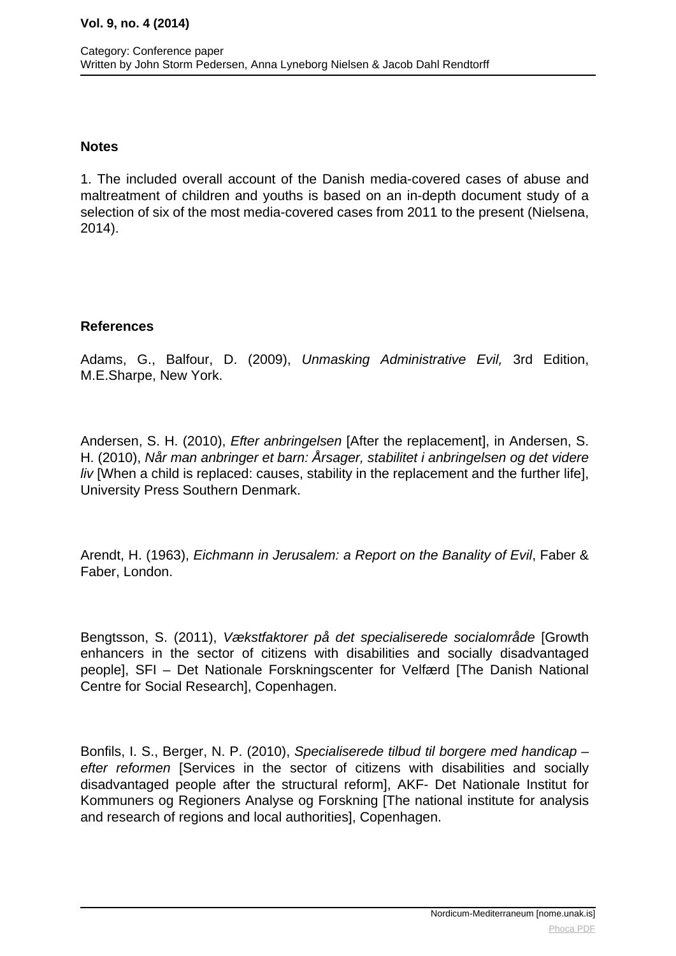#### **Notes**

1. The included overall account of the Danish media-covered cases of abuse and maltreatment of children and youths is based on an in-depth document study of a selection of six of the most media-covered cases from 2011 to the present (Nielsena, 2014).

## **References**

Adams, G., Balfour, D. (2009), Unmasking Administrative Evil, 3rd Edition, M.E.Sharpe, New York.

Andersen, S. H. (2010), Efter anbringelsen [After the replacement], in Andersen, S. H. (2010), Når man anbringer et barn: Årsager, stabilitet i anbringelsen og det videre liv [When a child is replaced: causes, stability in the replacement and the further life], University Press Southern Denmark.

Arendt, H. (1963), Eichmann in Jerusalem: a Report on the Banality of Evil, Faber & Faber, London.

Bengtsson, S. (2011), Vækstfaktorer på det specialiserede socialområde [Growth enhancers in the sector of citizens with disabilities and socially disadvantaged people], SFI – Det Nationale Forskningscenter for Velfærd [The Danish National Centre for Social Research], Copenhagen.

Bonfils, I. S., Berger, N. P. (2010), Specialiserede tilbud til borgere med handicap – efter reformen [Services in the sector of citizens with disabilities and socially disadvantaged people after the structural reform], AKF- Det Nationale Institut for Kommuners og Regioners Analyse og Forskning [The national institute for analysis and research of regions and local authorities], Copenhagen.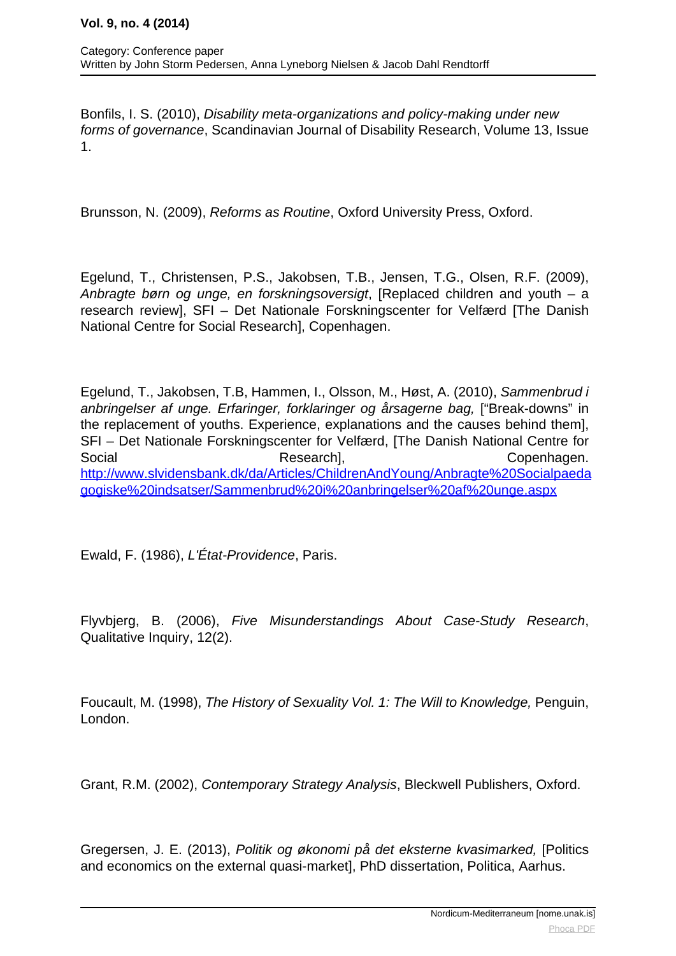Bonfils, I. S. (2010), Disability meta-organizations and policy-making under new forms of governance, Scandinavian Journal of Disability Research, Volume 13, Issue 1.

Brunsson, N. (2009), Reforms as Routine, Oxford University Press, Oxford.

Egelund, T., Christensen, P.S., Jakobsen, T.B., Jensen, T.G., Olsen, R.F. (2009), Anbragte børn og unge, en forskningsoversigt, [Replaced children and youth – a research review], SFI – Det Nationale Forskningscenter for Velfærd [The Danish National Centre for Social Research], Copenhagen.

Egelund, T., Jakobsen, T.B, Hammen, I., Olsson, M., Høst, A. (2010), Sammenbrud i anbringelser af unge. Erfaringer, forklaringer og årsagerne bag, ["Break-downs" in the replacement of youths. Experience, explanations and the causes behind them], SFI – Det Nationale Forskningscenter for Velfærd, [The Danish National Centre for Social Research], Copenhagen. [http://www.slvidensbank.dk/da/Articles/ChildrenAndYoung/Anbragte%20Socialpaeda](http://www.slvidensbank.dk/da/Articles/ChildrenAndYoung/Anbragte%20Socialpaedagogiske%20indsatser/Sammenbrud%20i%20anbringelser%20af%20unge.aspx) [gogiske%20indsatser/Sammenbrud%20i%20anbringelser%20af%20unge.aspx](http://www.slvidensbank.dk/da/Articles/ChildrenAndYoung/Anbragte%20Socialpaedagogiske%20indsatser/Sammenbrud%20i%20anbringelser%20af%20unge.aspx)

Ewald, F. (1986), L'État-Providence, Paris.

Flyvbjerg, B. (2006), Five Misunderstandings About Case-Study Research, Qualitative Inquiry, 12(2).

Foucault, M. (1998), The History of Sexuality Vol. 1: The Will to Knowledge, Penguin, London.

Grant, R.M. (2002), Contemporary Strategy Analysis, Bleckwell Publishers, Oxford.

Gregersen, J. E. (2013), Politik og økonomi på det eksterne kvasimarked, [Politics and economics on the external quasi-market], PhD dissertation, Politica, Aarhus.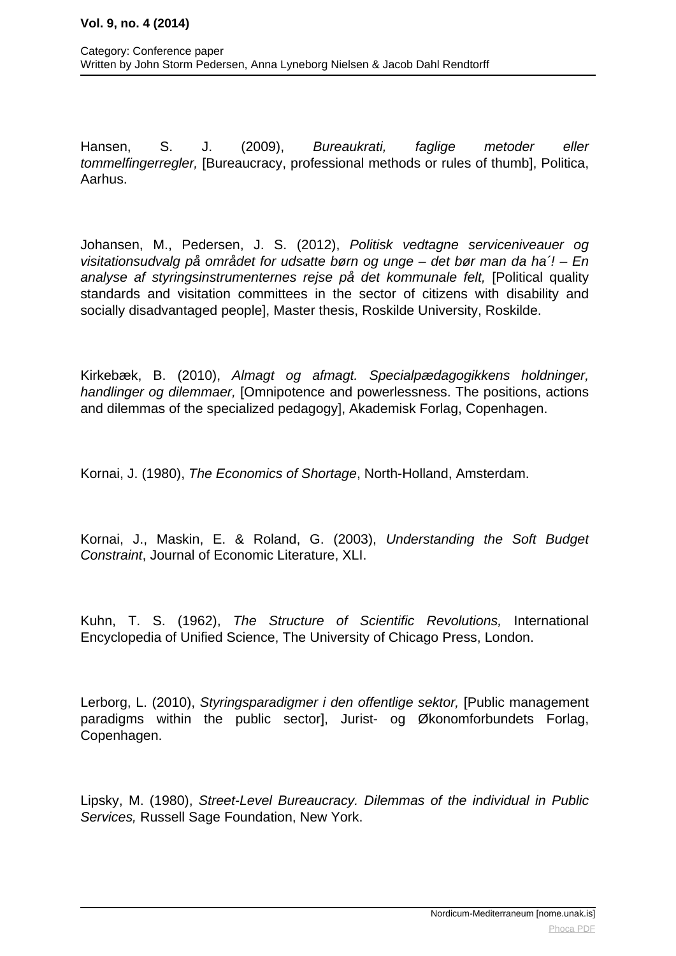Hansen, S. J. (2009), Bureaukrati, faglige metoder eller tommelfingerregler, [Bureaucracy, professional methods or rules of thumb], Politica, Aarhus.

Johansen, M., Pedersen, J. S. (2012), Politisk vedtagne serviceniveauer og visitationsudvalg på området for udsatte børn og unge – det bør man da ha´! – En analyse af styringsinstrumenternes rejse på det kommunale felt, [Political quality standards and visitation committees in the sector of citizens with disability and socially disadvantaged people], Master thesis, Roskilde University, Roskilde.

Kirkebæk, B. (2010), Almagt og afmagt. Specialpædagogikkens holdninger, handlinger og dilemmaer, [Omnipotence and powerlessness. The positions, actions and dilemmas of the specialized pedagogy], Akademisk Forlag, Copenhagen.

Kornai, J. (1980), The Economics of Shortage, North-Holland, Amsterdam.

Kornai, J., Maskin, E. & Roland, G. (2003), Understanding the Soft Budget Constraint, Journal of Economic Literature, XLI.

Kuhn, T. S. (1962), The Structure of Scientific Revolutions, International Encyclopedia of Unified Science, The University of Chicago Press, London.

Lerborg, L. (2010), Styringsparadigmer i den offentlige sektor, [Public management paradigms within the public sector], Jurist- og Økonomforbundets Forlag, Copenhagen.

Lipsky, M. (1980), Street-Level Bureaucracy. Dilemmas of the individual in Public Services, Russell Sage Foundation, New York.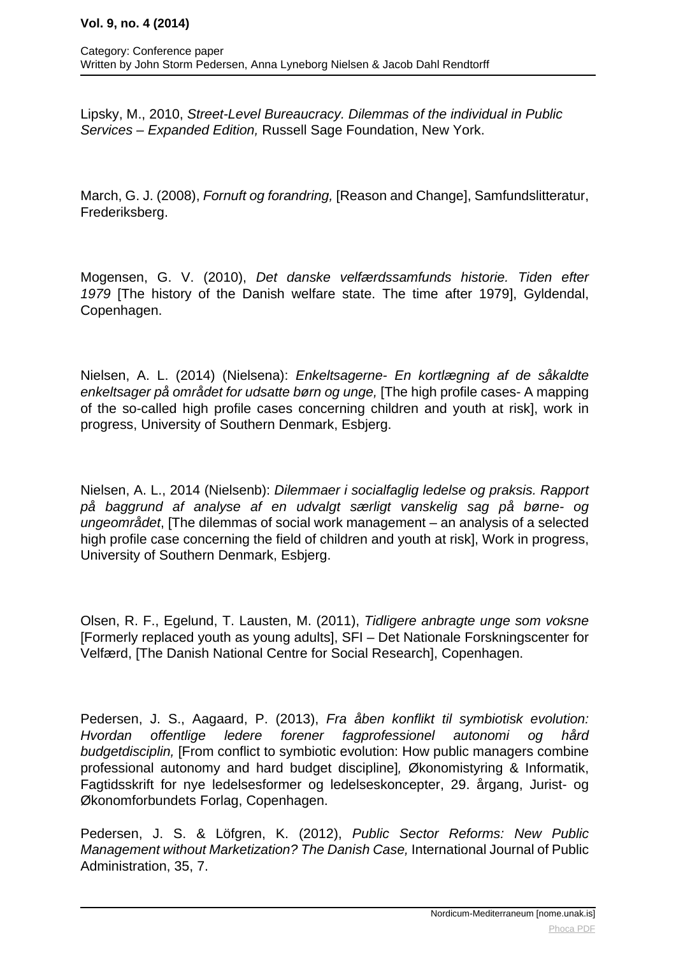Lipsky, M., 2010, Street-Level Bureaucracy. Dilemmas of the individual in Public Services – Expanded Edition, Russell Sage Foundation, New York.

March, G. J. (2008), Fornuft og forandring, [Reason and Change], Samfundslitteratur, Frederiksberg.

Mogensen, G. V. (2010), Det danske velfærdssamfunds historie. Tiden efter 1979 [The history of the Danish welfare state. The time after 1979], Gyldendal, Copenhagen.

Nielsen, A. L. (2014) (Nielsena): Enkeltsagerne- En kortlægning af de såkaldte enkeltsager på området for udsatte børn og unge, [The high profile cases- A mapping of the so-called high profile cases concerning children and youth at risk], work in progress, University of Southern Denmark, Esbjerg.

Nielsen, A. L., 2014 (Nielsenb): Dilemmaer i socialfaglig ledelse og praksis. Rapport på baggrund af analyse af en udvalgt særligt vanskelig sag på børne- og ungeområdet, [The dilemmas of social work management – an analysis of a selected high profile case concerning the field of children and youth at risk], Work in progress, University of Southern Denmark, Esbjerg.

Olsen, R. F., Egelund, T. Lausten, M. (2011), Tidligere anbragte unge som voksne [Formerly replaced youth as young adults], SFI – Det Nationale Forskningscenter for Velfærd, [The Danish National Centre for Social Research], Copenhagen.

Pedersen, J. S., Aagaard, P. (2013), Fra åben konflikt til symbiotisk evolution: Hvordan offentlige ledere forener fagprofessionel autonomi og hård budgetdisciplin, [From conflict to symbiotic evolution: How public managers combine professional autonomy and hard budget discipline], Økonomistyring & Informatik, Fagtidsskrift for nye ledelsesformer og ledelseskoncepter, 29. årgang, Jurist- og Økonomforbundets Forlag, Copenhagen.

Pedersen, J. S. & Löfgren, K. (2012), Public Sector Reforms: New Public Management without Marketization? The Danish Case, International Journal of Public Administration, 35, 7.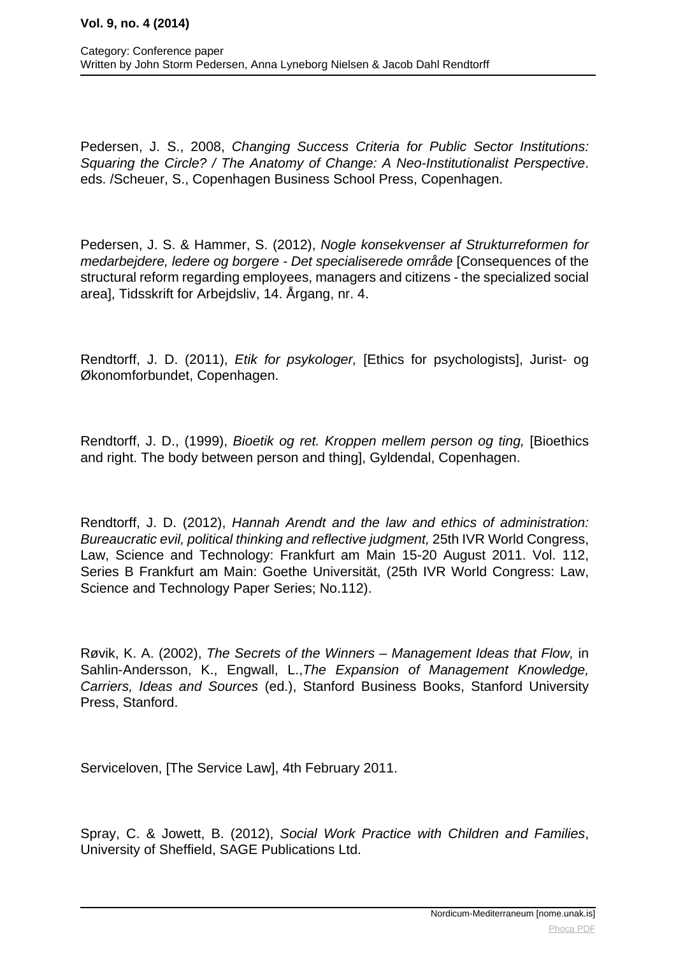Pedersen, J. S., 2008, Changing Success Criteria for Public Sector Institutions: Squaring the Circle? / The Anatomy of Change: A Neo-Institutionalist Perspective. eds. /Scheuer, S., Copenhagen Business School Press, Copenhagen.

Pedersen, J. S. & Hammer, S. (2012), Nogle konsekvenser af Strukturreformen for medarbejdere, ledere og borgere - Det specialiserede område [Consequences of the structural reform regarding employees, managers and citizens - the specialized social area], Tidsskrift for Arbejdsliv, 14. Årgang, nr. 4.

Rendtorff, J. D. (2011), Etik for psykologer, [Ethics for psychologists], Jurist- og Økonomforbundet, Copenhagen.

Rendtorff, J. D., (1999), Bioetik og ret. Kroppen mellem person og ting, [Bioethics and right. The body between person and thing], Gyldendal, Copenhagen.

Rendtorff, J. D. (2012), Hannah Arendt and the law and ethics of administration: Bureaucratic evil, political thinking and reflective judgment, 25th IVR World Congress, Law, Science and Technology: Frankfurt am Main 15-20 August 2011. Vol. 112, Series B Frankfurt am Main: Goethe Universität, (25th IVR World Congress: Law, Science and Technology Paper Series; No.112).

Røvik, K. A. (2002), The Secrets of the Winners – Management Ideas that Flow, in Sahlin-Andersson, K., Engwall, L.,The Expansion of Management Knowledge, Carriers, Ideas and Sources (ed.), Stanford Business Books, Stanford University Press, Stanford.

Serviceloven, [The Service Law], 4th February 2011.

Spray, C. & Jowett, B. (2012), Social Work Practice with Children and Families, University of Sheffield, SAGE Publications Ltd.